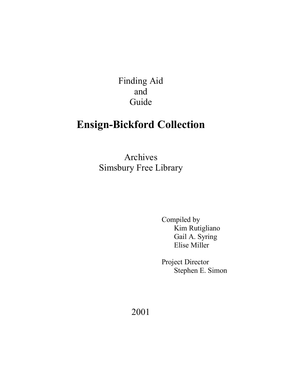Finding Aid and Guide

# **Ensign-Bickford Collection**

Archives Simsbury Free Library

> Compiled by Kim Rutigliano Gail A. Syring Elise Miller

 Project Director Stephen E. Simon

2001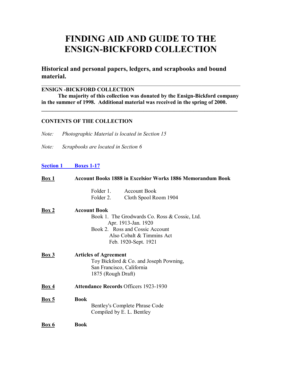# **FINDING AID AND GUIDE TO THE ENSIGN-BICKFORD COLLECTION**

**Historical and personal papers, ledgers, and scrapbooks and bound material.** 

#### **ENSIGN -BICKFORD COLLECTION**

 **The majority of this collection was donated by the Ensign-Bickford company in the summer of 1998. Additional material was received in the spring of 2000.**

 $\mathcal{L}_\mathcal{L} = \{ \mathcal{L}_\mathcal{L} = \{ \mathcal{L}_\mathcal{L} = \{ \mathcal{L}_\mathcal{L} = \{ \mathcal{L}_\mathcal{L} = \{ \mathcal{L}_\mathcal{L} = \{ \mathcal{L}_\mathcal{L} = \{ \mathcal{L}_\mathcal{L} = \{ \mathcal{L}_\mathcal{L} = \{ \mathcal{L}_\mathcal{L} = \{ \mathcal{L}_\mathcal{L} = \{ \mathcal{L}_\mathcal{L} = \{ \mathcal{L}_\mathcal{L} = \{ \mathcal{L}_\mathcal{L} = \{ \mathcal{L}_\mathcal{$ 

 $\mathcal{L}_\text{max}$  , and the contribution of the contribution of the contribution of the contribution of the contribution of the contribution of the contribution of the contribution of the contribution of the contribution of t

## **CONTENTS OF THE COLLECTION**

*Note: Photographic Material is located in Section 15* 

*Note: Scrapbooks are located in Section 6* 

## **Section 1 Boxes 1-17**

| Box 1        | <b>Account Books 1888 in Excelsior Works 1886 Memorandum Book</b>                                                                                                                   |
|--------------|-------------------------------------------------------------------------------------------------------------------------------------------------------------------------------------|
|              | Folder 1. Account Book<br>Folder 2.<br>Cloth Spool Room 1904                                                                                                                        |
| <b>Box 2</b> | <b>Account Book</b><br>Book 1. The Grodwards Co. Ross & Cossic, Ltd.<br>Apr. 1913-Jan. 1920<br>Book 2. Ross and Cossic Account<br>Also Cobalt & Timmins Act<br>Feb. 1920-Sept. 1921 |
| Box 3        | <b>Articles of Agreement</b><br>Toy Bickford & Co. and Joseph Powning,<br>San Francisco, California<br>1875 (Rough Draft)                                                           |
| <b>Box 4</b> | <b>Attendance Records Officers 1923-1930</b>                                                                                                                                        |
| Box 5        | <b>Book</b><br>Bentley's Complete Phrase Code<br>Compiled by E. L. Bentley                                                                                                          |
| <b>Box 6</b> | <b>Book</b>                                                                                                                                                                         |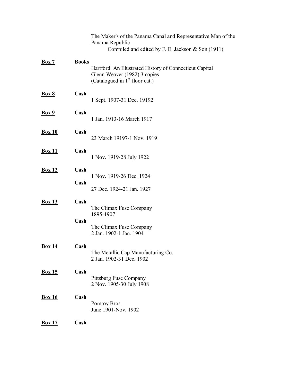|               |              | The Maker's of the Panama Canal and Representative Man of the<br>Panama Republic<br>Compiled and edited by F. E. Jackson & Son (1911) |
|---------------|--------------|---------------------------------------------------------------------------------------------------------------------------------------|
| <b>Box 7</b>  | <b>Books</b> | Hartford: An Illustrated History of Connecticut Capital<br>Glenn Weaver (1982) 3 copies<br>(Catalogued in $1st$ floor cat.)           |
| <b>Box 8</b>  | Cash         | 1 Sept. 1907-31 Dec. 19192                                                                                                            |
| <b>Box 9</b>  | Cash         | 1 Jan. 1913-16 March 1917                                                                                                             |
| <b>Box 10</b> | Cash         | 23 March 19197-1 Nov. 1919                                                                                                            |
| <b>Box 11</b> | Cash         | 1 Nov. 1919-28 July 1922                                                                                                              |
| <b>Box 12</b> | Cash         | 1 Nov. 1919-26 Dec. 1924                                                                                                              |
|               | Cash         | 27 Dec. 1924-21 Jan. 1927                                                                                                             |
| <b>Box 13</b> | Cash         | The Climax Fuse Company<br>1895-1907                                                                                                  |
|               | Cash         | The Climax Fuse Company<br>2 Jan. 1902-1 Jan. 1904                                                                                    |
| <b>Box 14</b> | Cash         | The Metallic Cap Manufacturing Co.<br>2 Jan. 1902-31 Dec. 1902                                                                        |
| <b>Box 15</b> | Cash         | Pittsburg Fuse Company<br>2 Nov. 1905-30 July 1908                                                                                    |
| <b>Box 16</b> | Cash         | Pomroy Bros.<br>June 1901-Nov. 1902                                                                                                   |
| <b>Box 17</b> | Cash         |                                                                                                                                       |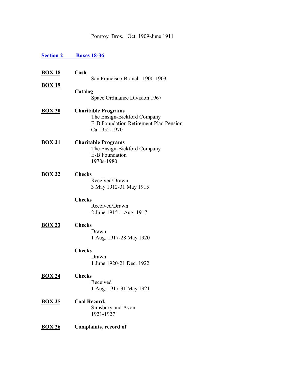Pomroy Bros. Oct. 1909-June 1911

# **Section 2 Boxes 18-36**

| <u>BOX 18</u> | Cash                                                                                                                       |
|---------------|----------------------------------------------------------------------------------------------------------------------------|
| <u>BOX 19</u> | San Francisco Branch 1900-1903                                                                                             |
|               | Catalog<br>Space Ordinance Division 1967                                                                                   |
| <u>BOX 20</u> | <b>Charitable Programs</b><br>The Ensign-Bickford Company<br><b>E-B Foundation Retirement Plan Pension</b><br>Ca 1952-1970 |
| <u>BOX 21</u> | <b>Charitable Programs</b><br>The Ensign-Bickford Company<br><b>E-B Foundation</b><br>1970s-1980                           |
| <b>BOX 22</b> | <b>Checks</b><br>Received/Drawn<br>3 May 1912-31 May 1915                                                                  |
|               | <b>Checks</b><br>Received/Drawn<br>2 June 1915-1 Aug. 1917                                                                 |
| <b>BOX 23</b> | <b>Checks</b><br>Drawn<br>1 Aug. 1917-28 May 1920                                                                          |
|               | <b>Checks</b><br>Drawn<br>1 June 1920-21 Dec. 1922                                                                         |
| <b>BOX 24</b> | <b>Checks</b><br>Received<br>1 Aug. 1917-31 May 1921                                                                       |
| <u>BOX 25</u> | <b>Coal Record.</b><br>Simsbury and Avon<br>1921-1927                                                                      |
| <b>BOX 26</b> | <b>Complaints, record of</b>                                                                                               |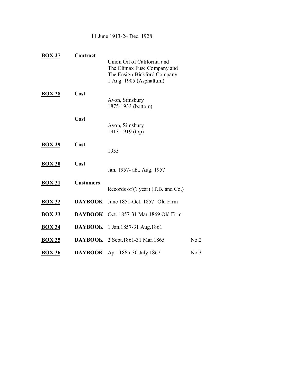11 June 1913-24 Dec. 1928

| <b>BOX 27</b> | Contract         |                                                                                                                      |      |
|---------------|------------------|----------------------------------------------------------------------------------------------------------------------|------|
|               |                  | Union Oil of California and<br>The Climax Fuse Company and<br>The Ensign-Bickford Company<br>1 Aug. 1905 (Asphaltum) |      |
| <b>BOX 28</b> | Cost             | Avon, Simsbury<br>1875-1933 (bottom)                                                                                 |      |
|               | Cost             | Avon, Simsbury<br>1913-1919 (top)                                                                                    |      |
| <b>BOX 29</b> | Cost             | 1955                                                                                                                 |      |
| <b>BOX 30</b> | Cost             | Jan. 1957- abt. Aug. 1957                                                                                            |      |
| <b>BOX 31</b> | <b>Customers</b> | Records of $(?)$ year) $(T.B. \text{ and } Co.)$                                                                     |      |
| <b>BOX 32</b> |                  | <b>DAYBOOK</b> June 1851-Oct. 1857 Old Firm                                                                          |      |
| <b>BOX 33</b> |                  | DAYBOOK Oct. 1857-31 Mar. 1869 Old Firm                                                                              |      |
| <b>BOX 34</b> |                  | <b>DAYBOOK</b> 1 Jan. 1857-31 Aug. 1861                                                                              |      |
| <b>BOX 35</b> |                  | <b>DAYBOOK</b> 2 Sept. 1861-31 Mar. 1865                                                                             | No.2 |
| <b>BOX 36</b> | <b>DAYBOOK</b>   | Apr. 1865-30 July 1867                                                                                               | No.3 |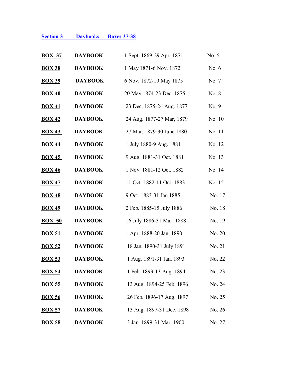# **Section 3 Daybooks Boxes 37-38**

| <b>BOX 37</b> | <b>DAYBOOK</b> | 1 Sept. 1869-29 Apr. 1871 | No. 5  |
|---------------|----------------|---------------------------|--------|
| <b>BOX 38</b> | <b>DAYBOOK</b> | 1 May 1871-6 Nov. 1872    | No. 6  |
| <b>BOX 39</b> | <b>DAYBOOK</b> | 6 Nov. 1872-19 May 1875   | No. 7  |
| <b>BOX 40</b> | <b>DAYBOOK</b> | 20 May 1874-23 Dec. 1875  | No. 8  |
| <b>BOX 41</b> | <b>DAYBOOK</b> | 23 Dec. 1875-24 Aug. 1877 | No. 9  |
| <b>BOX 42</b> | <b>DAYBOOK</b> | 24 Aug. 1877-27 Mar, 1879 | No. 10 |
| <b>BOX 43</b> | <b>DAYBOOK</b> | 27 Mar. 1879-30 June 1880 | No. 11 |
| <b>BOX 44</b> | <b>DAYBOOK</b> | 1 July 1880-9 Aug. 1881   | No. 12 |
| <b>BOX 45</b> | <b>DAYBOOK</b> | 9 Aug. 1881-31 Oct. 1881  | No. 13 |
| <b>BOX 46</b> | <b>DAYBOOK</b> | 1 Nov. 1881-12 Oct. 1882  | No. 14 |
| <b>BOX 47</b> | <b>DAYBOOK</b> | 11 Oct. 1882-11 Oct. 1883 | No. 15 |
| <b>BOX 48</b> | <b>DAYBOOK</b> | 9 Oct. 1883-31 Jan 1885   | No. 17 |
| <b>BOX 49</b> | <b>DAYBOOK</b> | 2 Feb. 1885-15 July 1886  | No. 18 |
| <b>BOX 50</b> | <b>DAYBOOK</b> | 16 July 1886-31 Mar. 1888 | No. 19 |
| <b>BOX 51</b> | <b>DAYBOOK</b> | 1 Apr. 1888-20 Jan. 1890  | No. 20 |
| <b>BOX 52</b> | <b>DAYBOOK</b> | 18 Jan. 1890-31 July 1891 | No. 21 |
| <b>BOX 53</b> | <b>DAYBOOK</b> | 1 Aug. 1891-31 Jan. 1893  | No. 22 |
| <u>BOX 54</u> | <b>DAYBOOK</b> | 1 Feb. 1893-13 Aug. 1894  | No. 23 |
| <b>BOX 55</b> | <b>DAYBOOK</b> | 13 Aug. 1894-25 Feb. 1896 | No. 24 |
| <b>BOX 56</b> | <b>DAYBOOK</b> | 26 Feb. 1896-17 Aug. 1897 | No. 25 |
| <b>BOX 57</b> | <b>DAYBOOK</b> | 13 Aug. 1897-31 Dec. 1898 | No. 26 |
| <b>BOX 58</b> | <b>DAYBOOK</b> | 3 Jan. 1899-31 Mar. 1900  | No. 27 |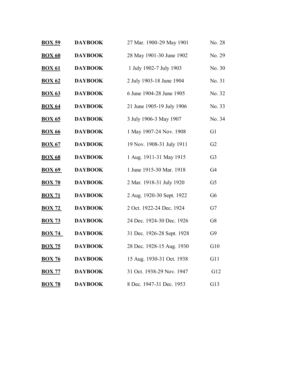| <b>BOX 59</b> | <b>DAYBOOK</b> | 27 Mar. 1900-29 May 1901   | No. 28         |
|---------------|----------------|----------------------------|----------------|
| <b>BOX 60</b> | <b>DAYBOOK</b> | 28 May 1901-30 June 1902   | No. 29         |
| <b>BOX 61</b> | <b>DAYBOOK</b> | 1 July 1902-7 July 1903    | No. 30         |
| <b>BOX 62</b> | <b>DAYBOOK</b> | 2 July 1903-18 June 1904   | No. 31         |
| <b>BOX 63</b> | <b>DAYBOOK</b> | 6 June 1904-28 June 1905   | No. 32         |
| <b>BOX 64</b> | <b>DAYBOOK</b> | 21 June 1905-19 July 1906  | No. 33         |
| <b>BOX 65</b> | <b>DAYBOOK</b> | 3 July 1906-3 May 1907     | No. 34         |
| <b>BOX 66</b> | <b>DAYBOOK</b> | 1 May 1907-24 Nov. 1908    | G <sub>1</sub> |
| <b>BOX 67</b> | <b>DAYBOOK</b> | 19 Nov. 1908-31 July 1911  | G <sub>2</sub> |
| <b>BOX 68</b> | <b>DAYBOOK</b> | 1 Aug. 1911-31 May 1915    | G <sub>3</sub> |
| <b>BOX 69</b> | <b>DAYBOOK</b> | 1 June 1915-30 Mar. 1918   | G4             |
| <b>BOX 70</b> | <b>DAYBOOK</b> | 2 Mar. 1918-31 July 1920   | G <sub>5</sub> |
| <b>BOX 71</b> | <b>DAYBOOK</b> | 2 Aug. 1920-30 Sept. 1922  | G <sub>6</sub> |
| <b>BOX 72</b> | <b>DAYBOOK</b> | 2 Oct. 1922-24 Dec. 1924   | G7             |
| <b>BOX 73</b> | <b>DAYBOOK</b> | 24 Dec. 1924-30 Dec. 1926  | G8             |
| <b>BOX 74</b> | <b>DAYBOOK</b> | 31 Dec. 1926-28 Sept. 1928 | G9             |
| <b>BOX 75</b> | <b>DAYBOOK</b> | 28 Dec. 1928-15 Aug. 1930  | G10            |
| <b>BOX 76</b> | <b>DAYBOOK</b> | 15 Aug. 1930-31 Oct. 1938  | G11            |
| <b>BOX 77</b> | <b>DAYBOOK</b> | 31 Oct. 1938-29 Nov. 1947  | G12            |
| <b>BOX 78</b> | <b>DAYBOOK</b> | 8 Dec. 1947-31 Dec. 1953   | G13            |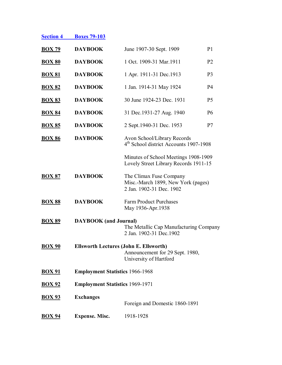| <b>Section 4</b> | <b>Boxes 79-103</b> |
|------------------|---------------------|
|                  |                     |

| <b>DAYBOOK</b>        | June 1907-30 Sept. 1909<br>P <sub>1</sub>                                                 |                                                                                                                                                                   |  |  |
|-----------------------|-------------------------------------------------------------------------------------------|-------------------------------------------------------------------------------------------------------------------------------------------------------------------|--|--|
| <b>DAYBOOK</b>        | 1 Oct. 1909-31 Mar. 1911<br>P <sub>2</sub>                                                |                                                                                                                                                                   |  |  |
| <b>DAYBOOK</b>        | 1 Apr. 1911-31 Dec. 1913<br>P <sub>3</sub>                                                |                                                                                                                                                                   |  |  |
| <b>DAYBOOK</b>        | 1 Jan. 1914-31 May 1924<br><b>P4</b>                                                      |                                                                                                                                                                   |  |  |
| <b>DAYBOOK</b>        | 30 June 1924-23 Dec. 1931<br>P <sub>5</sub>                                               |                                                                                                                                                                   |  |  |
| <b>DAYBOOK</b>        | 31 Dec. 1931-27 Aug. 1940<br><b>P6</b>                                                    |                                                                                                                                                                   |  |  |
| <b>DAYBOOK</b>        | 2 Sept. 1940-31 Dec. 1953<br>P7                                                           |                                                                                                                                                                   |  |  |
| <b>DAYBOOK</b>        | Avon School/Library Records<br>4 <sup>th</sup> School district Accounts 1907-1908         |                                                                                                                                                                   |  |  |
|                       | Minutes of School Meetings 1908-1909<br>Lovely Street Library Records 1911-15             |                                                                                                                                                                   |  |  |
| <b>DAYBOOK</b>        | The Climax Fuse Company<br>Misc.-March 1899, New York (pages)<br>2 Jan. 1902-31 Dec. 1902 |                                                                                                                                                                   |  |  |
| <b>DAYBOOK</b>        | <b>Farm Product Purchases</b><br>May 1936-Apr.1938                                        |                                                                                                                                                                   |  |  |
|                       | The Metallic Cap Manufacturing Company<br>2 Jan. 1902-31 Dec. 1902                        |                                                                                                                                                                   |  |  |
|                       | Announcement for 29 Sept. 1980,<br>University of Hartford                                 |                                                                                                                                                                   |  |  |
|                       |                                                                                           |                                                                                                                                                                   |  |  |
|                       |                                                                                           |                                                                                                                                                                   |  |  |
| <b>Exchanges</b>      | Foreign and Domestic 1860-1891                                                            |                                                                                                                                                                   |  |  |
| <b>Expense. Misc.</b> | 1918-1928                                                                                 |                                                                                                                                                                   |  |  |
|                       |                                                                                           | <b>DAYBOOK</b> (and Journal)<br><b>Ellsworth Lectures (John E. Ellsworth)</b><br><b>Employment Statistics 1966-1968</b><br><b>Employment Statistics 1969-1971</b> |  |  |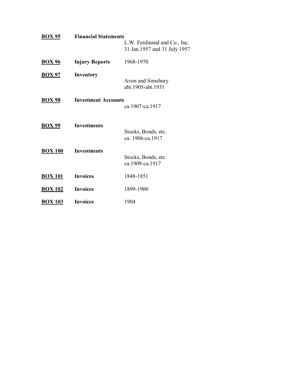| <b>BOX 95</b>  | <b>Financial Statements</b> | L.W. Ferdinand and Co., Inc.<br>31 Jan. 1957 and 31 July 1957 |
|----------------|-----------------------------|---------------------------------------------------------------|
| <b>BOX 96</b>  | <b>Injury Reports</b>       | 1968-1970                                                     |
| <b>BOX 97</b>  | Inventory                   | Avon and Simsbury<br>abt.1905-abt.1931                        |
| <b>BOX 98</b>  | <b>Investment Accounts</b>  | ca.1907-ca.1917                                               |
| <b>BOX 99</b>  | <b>Investments</b>          | Stocks, Bonds, etc.<br>ca. 1906-ca. 1917                      |
| <b>BOX 100</b> | <b>Investments</b>          | Stocks, Bonds, etc.<br>ca.1909-ca.1917                        |
| <b>BOX 101</b> | <b>Invoices</b>             | 1848-1851                                                     |
| <b>BOX 102</b> | <b>Invoices</b>             | 1899-1900                                                     |
| <b>BOX 103</b> | <b>Invoices</b>             | 1904                                                          |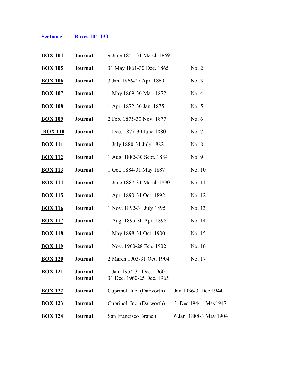# **Section 5 Boxes 104-130**

| <b>BOX 104</b> | Journal                   | 9 June 1851-31 March 1869                             |                        |
|----------------|---------------------------|-------------------------------------------------------|------------------------|
| <b>BOX 105</b> | Journal                   | 31 May 1861-30 Dec. 1865                              | No. 2                  |
| <b>BOX 106</b> | Journal                   | 3 Jan. 1866-27 Apr. 1869                              | No. 3                  |
| <b>BOX 107</b> | Journal                   | 1 May 1869-30 Mar. 1872                               | No. 4                  |
| <b>BOX 108</b> | Journal                   | 1 Apr. 1872-30 Jan. 1875                              | No. 5                  |
| <b>BOX 109</b> | Journal                   | 2 Feb. 1875-30 Nov. 1877                              | No. $6$                |
| <b>BOX 110</b> | Journal                   | 1 Dec. 1877-30 June 1880                              | No. 7                  |
| <b>BOX 111</b> | Journal                   | 1 July 1880-31 July 1882                              | No. 8                  |
| <b>BOX 112</b> | Journal                   | 1 Aug. 1882-30 Sept. 1884                             | No. 9                  |
| <b>BOX 113</b> | Journal                   | 1 Oct. 1884-31 May 1887                               | No. 10                 |
| <b>BOX 114</b> | Journal                   | 1 June 1887-31 March 1890                             | No. 11                 |
| <b>BOX 115</b> | Journal                   | 1 Apr. 1890-31 Oct. 1892                              | No. 12                 |
| <b>BOX 116</b> | Journal                   | 1 Nov. 1892-31 July 1895                              | No. 13                 |
| <b>BOX 117</b> | Journal                   | 1 Aug. 1895-30 Apr. 1898                              | No. 14                 |
| <b>BOX 118</b> | Journal                   | 1 May 1898-31 Oct. 1900                               | No. 15                 |
| <b>BOX 119</b> | Journal                   | 1 Nov. 1900-28 Feb. 1902                              | No. 16                 |
| <b>BOX 120</b> | Journal                   | 2 March 1903-31 Oct. 1904                             | No. 17                 |
| <b>BOX 121</b> | <b>Journal</b><br>Journal | 1 Jan. 1954-31 Dec. 1960<br>31 Dec. 1960-25 Dec. 1965 |                        |
| <b>BOX 122</b> | Journal                   | Cuprinol, Inc. (Darworth)                             | Jan.1936-31Dec.1944    |
| <b>BOX 123</b> | <b>Journal</b>            | Cuprinol, Inc. (Darworth)                             | 31Dec.1944-1May1947    |
| <b>BOX 124</b> | Journal                   | San Francisco Branch                                  | 6 Jan. 1888-3 May 1904 |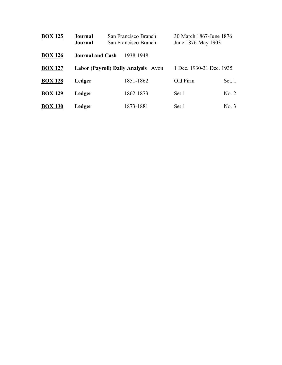| <b>BOX 125</b> | Journal<br>Journal      | San Francisco Branch<br>San Francisco Branch | 30 March 1867-June 1876<br>June 1876-May 1903 |        |
|----------------|-------------------------|----------------------------------------------|-----------------------------------------------|--------|
| <b>BOX 126</b> | <b>Journal and Cash</b> | 1938-1948                                    |                                               |        |
| <b>BOX 127</b> |                         | Labor (Payroll) Daily Analysis Avon          | 1 Dec. 1930-31 Dec. 1935                      |        |
| <b>BOX 128</b> | Ledger                  | 1851-1862                                    | Old Firm                                      | Set. 1 |
| <b>BOX 129</b> | Ledger                  | 1862-1873                                    | Set 1                                         | No. 2  |
| <b>BOX 130</b> | Ledger                  | 1873-1881                                    | Set 1                                         | No. 3  |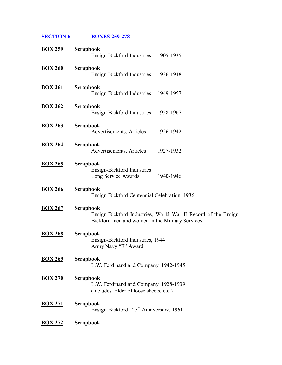**SECTION 6 BOXES 259-278** 

| <b>BOX 259</b> | <b>Scrapbook</b><br>Ensign-Bickford Industries<br>1905-1935                                                                            |
|----------------|----------------------------------------------------------------------------------------------------------------------------------------|
| <b>BOX 260</b> | <b>Scrapbook</b><br>1936-1948<br>Ensign-Bickford Industries                                                                            |
| <b>BOX 261</b> | Scrapbook<br>Ensign-Bickford Industries<br>1949-1957                                                                                   |
| <b>BOX 262</b> | Scrapbook<br>1958-1967<br>Ensign-Bickford Industries                                                                                   |
| <b>BOX 263</b> | <b>Scrapbook</b><br>Advertisements, Articles<br>1926-1942                                                                              |
| <b>BOX 264</b> | <b>Scrapbook</b><br>1927-1932<br>Advertisements, Articles                                                                              |
| <b>BOX 265</b> | <b>Scrapbook</b><br>Ensign-Bickford Industries<br>Long Service Awards<br>1940-1946                                                     |
| <b>BOX 266</b> | <b>Scrapbook</b><br>Ensign-Bickford Centennial Celebration 1936                                                                        |
| <b>BOX 267</b> | <b>Scrapbook</b><br>Ensign-Bickford Industries, World War II Record of the Ensign-<br>Bickford men and women in the Military Services. |
| <b>BOX 268</b> | Scrapbook<br>Ensign-Bickford Industries, 1944<br>Army Navy "E" Award                                                                   |
| <b>BOX 269</b> | <b>Scrapbook</b><br>L.W. Ferdinand and Company, 1942-1945                                                                              |
| <b>BOX 270</b> | <b>Scrapbook</b><br>L.W. Ferdinand and Company, 1928-1939<br>(Includes folder of loose sheets, etc.)                                   |
| <b>BOX 271</b> | <b>Scrapbook</b><br>Ensign-Bickford 125 <sup>th</sup> Anniversary, 1961                                                                |
| <b>BOX 272</b> | <b>Scrapbook</b>                                                                                                                       |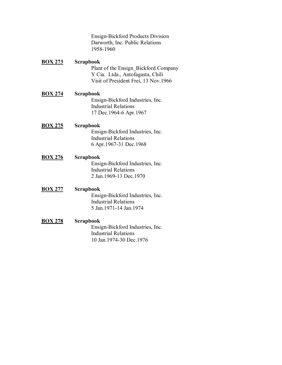|                | Ensign-Bickford Products Division<br>Darworth, Inc. Public Relations<br>1958-1960                                             |
|----------------|-------------------------------------------------------------------------------------------------------------------------------|
| <b>BOX 273</b> | Scrapbook<br>Plant of the Ensign Bickford Company<br>Y Cia. Ltda., Antofagasta, Chili<br>Visit of President Frei, 13 Nov.1966 |
| <b>BOX 274</b> | Scrapbook<br>Ensign-Bickford Industries, Inc.<br><b>Industrial Relations</b><br>17 Dec. 1964-6 Apr. 1967                      |
| <b>BOX 275</b> | Scrapbook<br>Ensign-Bickford Industries, Inc.<br><b>Industrial Relations</b><br>6 Apr. 1967-31 Dec. 1968                      |
| <b>BOX 276</b> | Scrapbook<br>Ensign-Bickford Industries, Inc.<br><b>Industrial Relations</b><br>2 Jan. 1969-13 Dec. 1970                      |
| <b>BOX 277</b> | Scrapbook<br>Ensign-Bickford Industries, Inc.<br><b>Industrial Relations</b><br>5 Jan. 1971-14 Jan. 1974                      |
| <b>BOX 278</b> | Scrapbook<br>Ensign-Bickford Industries, Inc.<br><b>Industrial Relations</b>                                                  |

10 Jan.1974-30 Dec.1976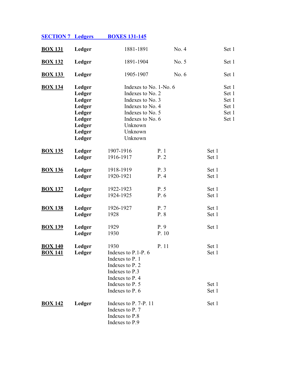| <b>SECTION 7 Ledgers</b>         |                                                                                        | <b>BOXES 131-145</b>                                                                                                                                        |              |                                                    |
|----------------------------------|----------------------------------------------------------------------------------------|-------------------------------------------------------------------------------------------------------------------------------------------------------------|--------------|----------------------------------------------------|
| <b>BOX 131</b>                   | Ledger                                                                                 | 1881-1891                                                                                                                                                   | No. 4        | Set 1                                              |
| <b>BOX 132</b>                   | Ledger                                                                                 | 1891-1904                                                                                                                                                   | No. 5        | Set 1                                              |
| <b>BOX 133</b>                   | Ledger                                                                                 | 1905-1907                                                                                                                                                   | No. $6$      | Set 1                                              |
| <b>BOX 134</b>                   | Ledger<br>Ledger<br>Ledger<br>Ledger<br>Ledger<br>Ledger<br>Ledger<br>Ledger<br>Ledger | Indexes to No. 1-No. 6<br>Indexes to No. 2<br>Indexes to No. 3<br>Indexes to No. 4<br>Indexes to No. 5<br>Indexes to No. 6<br>Unknown<br>Unknown<br>Unknown |              | Set 1<br>Set 1<br>Set 1<br>Set 1<br>Set 1<br>Set 1 |
| <b>BOX 135</b>                   | Ledger<br>Ledger                                                                       | 1907-1916<br>1916-1917                                                                                                                                      | P.1<br>P.2   | Set 1<br>Set 1                                     |
| <b>BOX 136</b>                   | Ledger<br>Ledger                                                                       | 1918-1919<br>1920-1921                                                                                                                                      | P.3<br>P.4   | Set 1<br>Set 1                                     |
| <b>BOX 137</b>                   | Ledger<br>Ledger                                                                       | 1922-1923<br>1924-1925                                                                                                                                      | P. 5<br>P. 6 | Set 1<br>Set 1                                     |
| <b>BOX 138</b>                   | Ledger<br>Ledger                                                                       | 1926-1927<br>1928                                                                                                                                           | P.7<br>P. 8  | Set 1<br>Set 1                                     |
| <b>BOX 139</b>                   | Ledger<br>Ledger                                                                       | 1929<br>1930                                                                                                                                                | P.9<br>P. 10 | Set 1                                              |
| <b>BOX 140</b><br><b>BOX 141</b> | Ledger<br>Ledger                                                                       | 1930<br>Indexes to P.1-P. 6<br>Indexes to P. 1<br>Indexes to P. 2<br>Indexes to P.3<br>Indexes to P. 4<br>Indexes to P. 5                                   | P. 11        | Set 1<br>Set 1<br>Set 1                            |
|                                  |                                                                                        | Indexes to P. 6                                                                                                                                             |              | Set 1                                              |
| <b>BOX 142</b>                   | Ledger                                                                                 | Indexes to $P. 7-P. 11$<br>Indexes to P. 7<br>Indexes to P.8<br>Indexes to P.9                                                                              |              | Set 1                                              |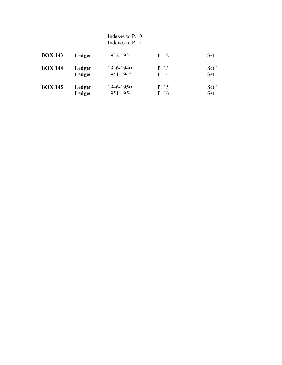|                |        | Indexes to P.10<br>Indexes to P.11 |       |       |
|----------------|--------|------------------------------------|-------|-------|
| <b>BOX 143</b> | Ledger | 1932-1935                          | P. 12 | Set 1 |
| <b>BOX 144</b> | Ledger | 1936-1940                          | P. 13 | Set 1 |
|                | Ledger | 1941-1945                          | P. 14 | Set 1 |
| <b>BOX 145</b> | Ledger | 1946-1950                          | P. 15 | Set 1 |
|                | Ledger | 1951-1954                          | P. 16 | Set 1 |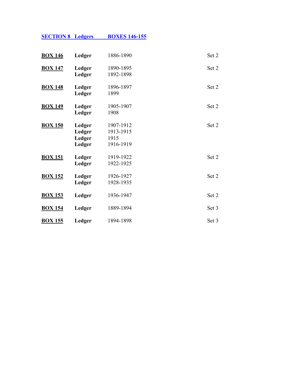|--|

| <b>BOX 146</b> | Ledger                               | 1886-1890                                   | Set 2 |
|----------------|--------------------------------------|---------------------------------------------|-------|
| <b>BOX 147</b> | Ledger<br>Ledger                     | 1890-1895<br>1892-1898                      | Set 2 |
| <b>BOX 148</b> | Ledger<br>Ledger                     | 1896-1897<br>1899                           | Set 2 |
| <b>BOX 149</b> | Ledger<br>Ledger                     | 1905-1907<br>1908                           | Set 2 |
| <b>BOX 150</b> | Ledger<br>Ledger<br>Ledger<br>Ledger | 1907-1912<br>1913-1915<br>1915<br>1916-1919 | Set 2 |
| <b>BOX 151</b> | Ledger<br>Ledger                     | 1919-1922<br>1922-1925                      | Set 2 |
| <b>BOX 152</b> | Ledger<br>Ledger                     | 1926-1927<br>1928-1935                      | Set 2 |
| <b>BOX 153</b> | Ledger                               | 1936-1947                                   | Set 2 |
| <b>BOX 154</b> | Ledger                               | 1889-1894                                   | Set 3 |
| <b>BOX 155</b> | Ledger                               | 1894-1898                                   | Set 3 |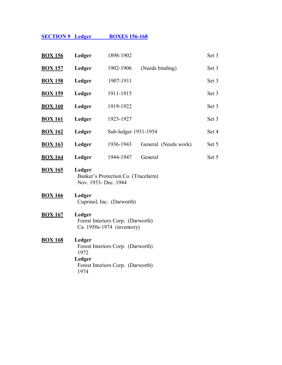# **SECTION 9 Ledger BOXES 156-168**

| <b>BOX 156</b> | Ledger                           | 1898-1902                                                              |                      | Set 3 |
|----------------|----------------------------------|------------------------------------------------------------------------|----------------------|-------|
| <b>BOX 157</b> | Ledger                           | 1902-1906                                                              | (Needs binding)      | Set 3 |
| <b>BOX 158</b> | Ledger                           | 1907-1911                                                              |                      | Set 3 |
| <b>BOX 159</b> | Ledger                           | 1911-1915                                                              |                      | Set 3 |
| <b>BOX 160</b> | Ledger                           | 1919-1922                                                              |                      | Set 3 |
| <b>BOX 161</b> | Ledger                           | 1923-1927                                                              |                      | Set 3 |
| <b>BOX 162</b> | Ledger                           | Sub-ledger 1931-1954                                                   |                      | Set 4 |
| <b>BOX 163</b> | Ledger                           | 1936-1943                                                              | General (Needs work) | Set 5 |
| <b>BOX 164</b> | Ledger                           | 1944-1947                                                              | General              | Set 5 |
| <b>BOX 165</b> | Ledger<br>Nov. 1933- Dec. 1944   | Banker's Protection Co. (Tracelarm)                                    |                      |       |
| <b>BOX 166</b> | Ledger                           | Cuprinol, Inc. (Darworth)                                              |                      |       |
| <b>BOX 167</b> | Ledger                           | Forest Interiors Corp. (Darworth)<br>Ca. 1950s-1974 (inventory)        |                      |       |
| <b>BOX 168</b> | Ledger<br>1972<br>Ledger<br>1974 | Forest Interiors Corp. (Darworth)<br>Forest Interiors Corp. (Darworth) |                      |       |
|                |                                  |                                                                        |                      |       |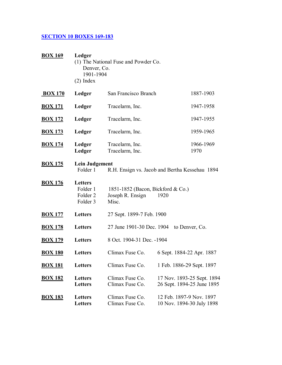# **SECTION 10 BOXES 169-183**

| <b>BOX 169</b> | Ledger<br>Denver, Co.<br>1901-1904<br>$(2)$ Index             | (1) The National Fuse and Powder Co.                           |      |                                                          |
|----------------|---------------------------------------------------------------|----------------------------------------------------------------|------|----------------------------------------------------------|
| <b>BOX 170</b> | Ledger                                                        | San Francisco Branch                                           |      | 1887-1903                                                |
| <b>BOX 171</b> | Ledger                                                        | Tracelarm, Inc.                                                |      | 1947-1958                                                |
| <b>BOX 172</b> | Ledger                                                        | Tracelarm, Inc.                                                |      | 1947-1955                                                |
| <b>BOX 173</b> | Ledger                                                        | Tracelarm, Inc.                                                |      | 1959-1965                                                |
| <b>BOX 174</b> | Ledger<br>Ledger                                              | Tracelarm, Inc.<br>Tracelarm, Inc.                             |      | 1966-1969<br>1970                                        |
| <b>BOX 175</b> | <b>Lein Judgement</b><br>Folder 1                             | R.H. Ensign vs. Jacob and Bertha Kessehau 1894                 |      |                                                          |
| <b>BOX 176</b> | <b>Letters</b><br>Folder 1<br>Folder <sub>2</sub><br>Folder 3 | 1851-1852 (Bacon, Bickford & Co.)<br>Joseph R. Ensign<br>Misc. | 1920 |                                                          |
| <b>BOX 177</b> | <b>Letters</b>                                                | 27 Sept. 1899-7 Feb. 1900                                      |      |                                                          |
| <b>BOX 178</b> | <b>Letters</b>                                                | 27 June 1901-30 Dec. 1904                                      |      | to Denver, Co.                                           |
| <u>BOX 179</u> | <b>Letters</b>                                                | 8 Oct. 1904-31 Dec. -1904                                      |      |                                                          |
| <b>BOX 180</b> | <b>Letters</b>                                                | Climax Fuse Co.                                                |      | 6 Sept. 1884-22 Apr. 1887                                |
| <u>BOX 181</u> | <b>Letters</b>                                                | Climax Fuse Co.                                                |      | 1 Feb. 1886-29 Sept. 1897                                |
| <b>BOX 182</b> | Letters<br><b>Letters</b>                                     | Climax Fuse Co.<br>Climax Fuse Co.                             |      | 17 Nov. 1893-25 Sept. 1894<br>26 Sept. 1894-25 June 1895 |
| <b>BOX 183</b> | <b>Letters</b><br><b>Letters</b>                              | Climax Fuse Co.<br>Climax Fuse Co.                             |      | 12 Feb. 1897-9 Nov. 1897<br>10 Nov. 1894-30 July 1898    |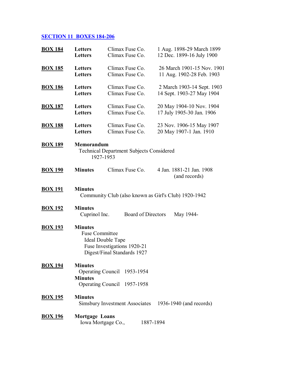# **SECTION 11 BOXES 184-206**

| <b>BOX 184</b> | Letters                                 | Climax Fuse Co.                                                                 |                    | 1 Aug. 1898-29 March 1899                              |  |
|----------------|-----------------------------------------|---------------------------------------------------------------------------------|--------------------|--------------------------------------------------------|--|
|                | <b>Letters</b>                          | Climax Fuse Co.                                                                 |                    | 12 Dec. 1899-16 July 1900                              |  |
| <b>BOX 185</b> | Letters                                 | Climax Fuse Co.                                                                 |                    | 26 March 1901-15 Nov. 1901                             |  |
|                | <b>Letters</b>                          | Climax Fuse Co.                                                                 |                    | 11 Aug. 1902-28 Feb. 1903                              |  |
| <b>BOX 186</b> | Letters                                 | Climax Fuse Co.                                                                 |                    | 2 March 1903-14 Sept. 1903                             |  |
|                | <b>Letters</b>                          | Climax Fuse Co.                                                                 |                    | 14 Sept. 1903-27 May 1904                              |  |
| <b>BOX 187</b> | Letters                                 | Climax Fuse Co.                                                                 |                    | 20 May 1904-10 Nov. 1904                               |  |
|                | <b>Letters</b>                          | Climax Fuse Co.                                                                 |                    | 17 July 1905-30 Jan. 1906                              |  |
| <b>BOX 188</b> | Letters                                 | Climax Fuse Co.                                                                 |                    | 23 Nov. 1906-15 May 1907                               |  |
|                | Letters                                 | Climax Fuse Co.                                                                 |                    | 20 May 1907-1 Jan. 1910                                |  |
| <b>BOX 189</b> | Memorandum                              | <b>Technical Department Subjects Considered</b><br>1927-1953                    |                    |                                                        |  |
| <b>BOX 190</b> | <b>Minutes</b>                          | Climax Fuse Co.                                                                 |                    | 4 Jan. 1881-21 Jan. 1908<br>(and records)              |  |
| <b>BOX 191</b> | <b>Minutes</b>                          |                                                                                 |                    | Community Club (also known as Girl's Club) 1920-1942   |  |
| <b>BOX 192</b> | <b>Minutes</b><br>Cuprinol Inc.         |                                                                                 | Board of Directors | May 1944-                                              |  |
| <b>BOX 193</b> | <b>Minutes</b><br><b>Fuse Committee</b> | Ideal Double Tape<br>Fuse Investigations 1920-21<br>Digest/Final Standards 1927 |                    |                                                        |  |
| <b>BOX 194</b> | <b>Minutes</b>                          |                                                                                 |                    |                                                        |  |
|                | <b>Minutes</b>                          | Operating Council 1953-1954                                                     |                    |                                                        |  |
|                |                                         | Operating Council 1957-1958                                                     |                    |                                                        |  |
| <b>BOX 195</b> | <b>Minutes</b>                          |                                                                                 |                    | Simsbury Investment Associates 1936-1940 (and records) |  |
| <b>BOX 196</b> | <b>Mortgage Loans</b>                   | Iowa Mortgage Co.,                                                              |                    | 1887-1894                                              |  |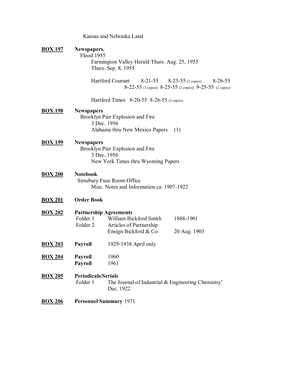|                |                                        | Kansas and Nebraska Land                                                                                    |                                                                                                             |
|----------------|----------------------------------------|-------------------------------------------------------------------------------------------------------------|-------------------------------------------------------------------------------------------------------------|
| <b>BOX 197</b> | Newspapers.<br>Flood 1955              | Farmington Valley Herald Thurs. Aug. 25, 1955<br>Thurs. Sep. 8, 1955                                        |                                                                                                             |
|                |                                        | <b>Hartford Courant</b>                                                                                     | $8-21-55$ $8-23-55$ (2 copies)<br>$8 - 26 - 55$<br>8-22-55 (3 copies) 8-25-55 (2 copies) 9-25-55 (2 copies) |
|                |                                        | Hartford Times 8-20-55 8-26-55 (3 copies)                                                                   |                                                                                                             |
| <b>BOX 198</b> | <b>Newspapers</b>                      | Brooklyn Pier Explosion and Fire<br>3 Dec. 1956<br>Alabama thru New Mexico Papers                           | (1)                                                                                                         |
| <b>BOX 199</b> | <b>Newspapers</b>                      | Brooklyn Pier Explosion and Fire<br>3 Dec. 1956<br>New York Times thru Wyoming Papers                       |                                                                                                             |
| <b>BOX 200</b> | <b>Notebook</b>                        | Simsbury Fuse Room Office<br>Misc. Notes and Information ca. 1907-1922                                      |                                                                                                             |
| <b>BOX 201</b> | <b>Order Book</b>                      |                                                                                                             |                                                                                                             |
| <b>BOX 202</b> | Folder 1<br>Folder <sub>2</sub>        | <b>Partnership Agreements</b><br>William Bickford Smith<br>Articles of Partnership<br>Ensign Bickford & Co. | 1888-1901<br>20 Aug. 1903                                                                                   |
| <b>BOX 203</b> | <b>Payroll</b>                         | 1929-1938 April only                                                                                        |                                                                                                             |
| <b>BOX 204</b> | <b>Payroll</b><br><b>Payroll</b>       | 1960<br>1961                                                                                                |                                                                                                             |
| <b>BOX 205</b> | <b>Periodicals/Serials</b><br>Folder 1 | The Journal of Industrial & Engineering Chemistry'<br>Dec. 1922                                             |                                                                                                             |
| <b>BOX 206</b> |                                        | <b>Personnel Summary 1971</b>                                                                               |                                                                                                             |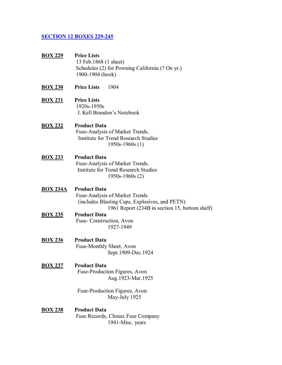#### **SECTION 12 BOXES 229-245**

- **BOX 229 Price Lists** 13 Feb.1868 (1 sheet) Schedules (2) for Powning California (? On yr.) 1900-1904 (book)
- **BOX 230 Price Lists** 1904
- **BOX 231 Price Lists** 1920s-1950s J. Kell Brandon's Notebook

## **BOX 232 Product Data**

Fuse-Analysis of Market Trends. Institute for Trend Research Studies 1950s-1960s (1)

#### **BOX 233 Product Data**

Fuse-Analysis of Market Trends. Institute for Trend Research Studies 1950s-1960s (2)

#### **BOX 234A Product Data**

Fuse-Analysis of Market Trends (includes Blasting Caps, Explosives, and PETN) 1961 Report (234B in section 15, bottom shelf)

## **BOX 235 Product Data**

Fuse- Construction, Avon 1927-1949

**BOX 236 Product Data** 

Fuse-Monthly Sheet, Avon Sept.1909-Dec.1924

#### **BOX 237 Product Data**

 Fuse-Production Figures, Avon Aug.1923-Mar.1925

 Fuse-Production Figures, Avon May-July 1925

#### **BOX 238 Product Data**

 Fuse Records, Climax Fuse Company 1941-Misc. years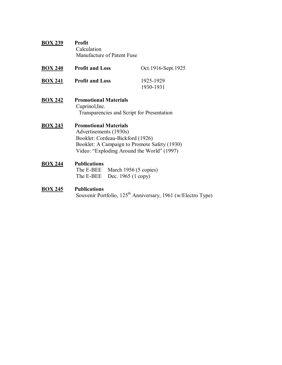| <b>BOX 239</b> | <b>Profit</b>              |
|----------------|----------------------------|
|                | Calculation                |
|                | Manufacture of Patent Fuse |

| <b>BOX 240</b> | <b>Profit and Loss</b> | Oct.1916-Sept.1925     |
|----------------|------------------------|------------------------|
| <b>BOX 241</b> | <b>Profit and Loss</b> | 1925-1929<br>1930-1931 |

**BOX 242 Promotional Materials**  Cuprinol,Inc. Transparencies and Script for Presentation

## **BOX 243 Promotional Materials**  Advertisements (1930s) Booklet: Cordeau-Bickford (1926) Booklet: A Campaign to Promote Safety (1930) Video: "Exploding Around the World" (1997)

#### **BOX 244 Publications**

The E-BEE March 1956 (5 copies) The E-BEE Dec. 1965 (1 copy)

# **BOX 245 Publications**

Souvenir Portfolio, 125<sup>th</sup> Anniversary, 1961 (w/Electro Type)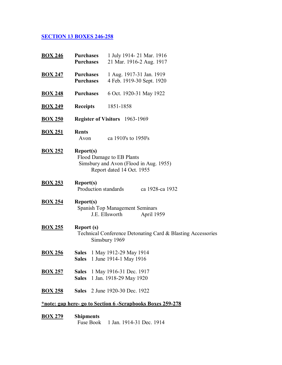# **SECTION 13 BOXES 246-258**

| <b>BOX 246</b> | <b>Purchases</b><br><b>Purchases</b> | 1 July 1914-21 Mar. 1916<br>21 Mar. 1916-2 Aug. 1917                                             |
|----------------|--------------------------------------|--------------------------------------------------------------------------------------------------|
| <b>BOX 247</b> | <b>Purchases</b><br><b>Purchases</b> | 1 Aug. 1917-31 Jan. 1919<br>4 Feb. 1919-30 Sept. 1920                                            |
| <b>BOX 248</b> | <b>Purchases</b>                     | 6 Oct. 1920-31 May 1922                                                                          |
| <b>BOX 249</b> | <b>Receipts</b>                      | 1851-1858                                                                                        |
| <b>BOX 250</b> |                                      | <b>Register of Visitors</b> 1963-1969                                                            |
| <b>BOX 251</b> | <b>Rents</b><br>Avon                 | ca 1910's to 1950's                                                                              |
| <b>BOX 252</b> | <b>Report(s)</b>                     | Flood Damage to EB Plants<br>Simsbury and Avon (Flood in Aug. 1955)<br>Report dated 14 Oct. 1955 |
| <b>BOX 253</b> | Report(s)<br>Production standards    | ca 1928-ca 1932                                                                                  |
| <b>BOX 254</b> | <b>Report(s)</b>                     | <b>Spanish Top Management Seminars</b><br>J.E. Ellsworth<br>April 1959                           |
| <b>BOX 255</b> | <b>Report (s)</b>                    | Technical Conference Detonating Card & Blasting Accessories<br>Simsbury 1969                     |
| <b>BOX 256</b> |                                      | Sales 1 May 1912-29 May 1914<br>Sales 1 June 1914-1 May 1916                                     |
| <b>BOX 257</b> |                                      | <b>Sales</b> 1 May 1916-31 Dec. 1917<br>Sales 1 Jan. 1918-29 May 1920                            |
| <b>BOX 258</b> |                                      | <b>Sales</b> 2 June 1920-30 Dec. 1922                                                            |
|                |                                      | *note: gap here- go to Section 6 - Scrapbooks Boxes 259-278                                      |
| <b>BOX 279</b> | <b>Shipments</b>                     |                                                                                                  |

Fuse Book 1 Jan. 1914-31 Dec. 1914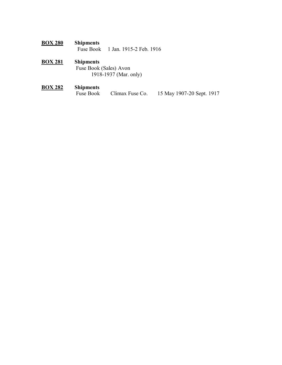## **BOX 280 Shipments**  1 Jan. 1915-2 Feb. 1916

# **BOX 281 Shipments**

 Fuse Book (Sales) Avon 1918-1937 (Mar. only)

# **BOX 282 Shipments**  Climax Fuse Co. 15 May 1907-20 Sept. 1917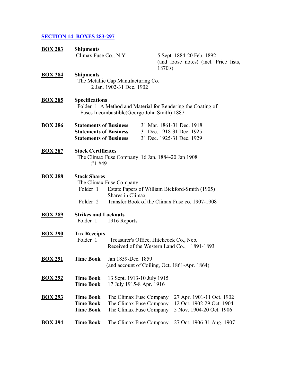# **SECTION 14 BOXES 283-297**

| <b>BOX 283</b> | <b>Shipments</b>                                                                        |                                                                               |                                         |                                                                                                           |  |
|----------------|-----------------------------------------------------------------------------------------|-------------------------------------------------------------------------------|-----------------------------------------|-----------------------------------------------------------------------------------------------------------|--|
|                | Climax Fuse Co., N.Y.                                                                   |                                                                               | 1870's                                  | 5 Sept. 1884-20 Feb. 1892<br>(and loose notes) (incl. Price lists,                                        |  |
| <b>BOX 284</b> | <b>Shipments</b>                                                                        | The Metallic Cap Manufacturing Co.<br>2 Jan. 1902-31 Dec. 1902                |                                         |                                                                                                           |  |
| <b>BOX 285</b> | <b>Specifications</b>                                                                   | Fuses Incombustible (George John Smith) 1887                                  |                                         | Folder 1 A Method and Material for Rendering the Coating of                                               |  |
| <b>BOX 286</b> | <b>Statements of Business</b>                                                           | <b>Statements of Business</b><br><b>Statements of Business</b>                |                                         | 31 Mar. 1861-31 Dec. 1918<br>31 Dec. 1918-31 Dec. 1925<br>31 Dec. 1925-31 Dec. 1929                       |  |
| <b>BOX 287</b> | <b>Stock Certificates</b><br>The Climax Fuse Company 16 Jan. 1884-20 Jan 1908<br>#1-#49 |                                                                               |                                         |                                                                                                           |  |
| <b>BOX 288</b> | <b>Stock Shares</b><br>Folder 1                                                         | The Climax Fuse Company<br>Shares in Climax                                   |                                         | Estate Papers of William Bickford-Smith (1905)<br>Folder 2 Transfer Book of the Climax Fuse co. 1907-1908 |  |
| <u>BOX 289</u> | <b>Strikes and Lockouts</b><br>Folder 1                                                 | 1916 Reports                                                                  |                                         |                                                                                                           |  |
| <b>BOX 290</b> | <b>Tax Receipts</b><br>Folder 1                                                         |                                                                               | Treasurer's Office, Hitchcock Co., Neb. | Received of the Western Land Co., 1891-1893                                                               |  |
| <b>BOX 291</b> | <b>Time Book</b>                                                                        | Jan 1859-Dec. 1859                                                            |                                         | (and account of Coiling, Oct. 1861-Apr. 1864)                                                             |  |
| <u>BOX 292</u> | <b>Time Book</b><br><b>Time Book</b>                                                    | 13 Sept. 1913-10 July 1915<br>17 July 1915-8 Apr. 1916                        |                                         |                                                                                                           |  |
| <u>BOX 293</u> | <b>Time Book</b><br><b>Time Book</b><br><b>Time Book</b>                                | The Climax Fuse Company<br>The Climax Fuse Company<br>The Climax Fuse Company |                                         | 27 Apr. 1901-11 Oct. 1902<br>12 Oct. 1902-29 Oct. 1904<br>5 Nov. 1904-20 Oct. 1906                        |  |
| <u>BOX 294</u> | <b>Time Book</b>                                                                        | The Climax Fuse Company                                                       |                                         | 27 Oct. 1906-31 Aug. 1907                                                                                 |  |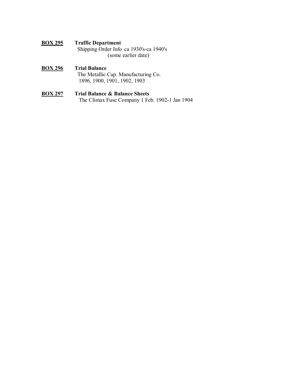- **BOX 295 Traffic Department** Shipping Order Info ca 1930's-ca 1940's (some earlier date)
- **BOX 296 Trial Balance** The Metallic Cap. Manufacturing Co. 1896, 1900, 1901, 1902, 1903
- **BOX 297 Trial Balance & Balance Sheets** The Climax Fuse Company 1 Feb. 1902-1 Jan 1904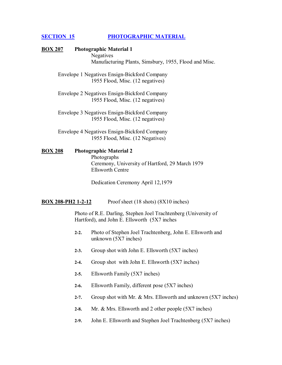#### **SECTION 15 PHOTOGRAPHIC MATERIAL**

## **BOX 207 Photographic Material 1**  Negatives Manufacturing Plants, Simsbury, 1955, Flood and Misc.

 Envelope 1 Negatives Ensign-Bickford Company 1955 Flood, Misc. (12 negatives)

 Envelope 2 Negatives Ensign-Bickford Company 1955 Flood, Misc. (12 negatives)

 Envelope 3 Negatives Ensign-Bickford Company 1955 Flood, Misc. (12 negatives)

 Envelope 4 Negatives Ensign-Bickford Company 1955 Flood, Misc. (12 Negatives)

**BOX 208 Photographic Material 2**  Photographs

 Ceremony, University of Hartford, 29 March 1979 Ellsworth Centre

Dedication Ceremony April 12,1979

**BOX 208-PH2 1-2-12** Proof sheet (18 shots) (8X10 inches)

Photo of R.E. Darling, Stephen Joel Trachtenberg (University of Hartford), and John E. Ellsworth (5X7 inches

- **2-2.** Photo of Stephen Joel Trachtenberg, John E. Ellsworth and unknown (5X7 inches)
- **2-3.** Group shot with John E. Ellsworth (5X7 inches)
- **2-4.** Group shot with John E. Ellsworth (5X7 inches)
- **2-5.** Ellsworth Family (5X7 inches)
- **2-6.** Ellsworth Family, different pose (5X7 inches)
- **2-7.** Group shot with Mr. & Mrs. Ellsworth and unknown (5X7 inches)
- **2-8.** Mr. & Mrs. Ellsworth and 2 other people (5X7 inches)
- **2-9.** John E. Ellsworth and Stephen Joel Trachtenberg (5X7 inches)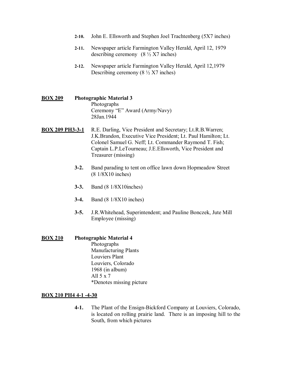- **2-10.** John E. Ellsworth and Stephen Joel Trachtenberg (5X7 inches)
- **2-11.** Newspaper article Farmington Valley Herald, April 12, 1979 describing ceremony  $(8 \frac{1}{2} X7 \text{ inches})$
- **2-12.** Newspaper article Farmington Valley Herald, April 12,1979 Describing ceremony  $(8 \frac{1}{2} X7 \text{ inches})$
- **BOX 209 Photographic Material 3**  Photographs Ceremony "E" Award (Army/Navy) 28Jan.1944
- **BOX 209 PH3-3-1** R.E. Darling, Vice President and Secretary; Lt.R.B.Warren; J.K.Brandon, Executive Vice President; Lt. Paul Hamilton; Lt. Colonel Samuel G. Neff; Lt. Commander Raymond T. Fish; Captain L.P.LeTourneau; J.E.Ellsworth, Vice President and Treasurer (missing)
	- **3-2.** Band parading to tent on office lawn down Hopmeadow Street (8 1/8X10 inches)
	- **3-3.** Band (8 1/8X10inches)
	- **3-4.** Band (8 1/8X10 inches)
	- **3-5.** J.R.Whitehead, Superintendent; and Pauline Bonczek, Jute Mill Employee (missing)
- **BOX 210 Photographic Material 4** Photographs Manufacturing Plants Louviers Plant Louviers, Colorado 1968 (in album) All 5 x 7 \*Denotes missing picture

#### **BOX 210 PH4 4-1 -4-30**

**4-1.** The Plant of the Ensign-Bickford Company at Louviers, Colorado, is located on rolling prairie land. There is an imposing hill to the South, from which pictures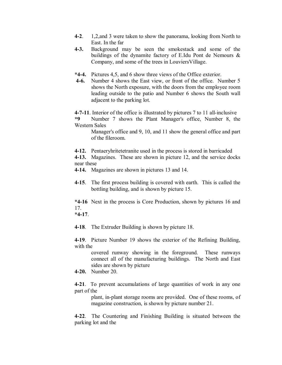- **4-2**. 1,2,and 3 were taken to show the panorama, looking from North to East. In the far
- **4-3.** Background may be seen the smokestack and some of the buildings of the dynamite factory of E.Idu Pont de Nemours & Company, and some of the trees in LouviersVillage.
- **\*4-4.** Pictures 4,5, and 6 show three views of the Office exterior.
- **4-6.** Number 4 shows the East view, or front of the office. Number 5 shows the North exposure, with the doors from the employee room leading outside to the patio and Number 6 shows the South wall adjacent to the parking lot.

**4-7-11**. Interior of the office is illustrated by pictures 7 to 11 all-inclusive

**\*9** Number 7 shows the Plant Manager's office, Number 8, the Western Sales

Manager's office and 9, 10, and 11 show the general office and part of the fileroom.

**4-12.** Pentaeryhritetetranite used in the process is stored in barricaded

**4-13.** Magazines. These are shown in picture 12, and the service docks near these

**4-14.** Magazines are shown in pictures 13 and 14.

**4-15**. The first process building is covered with earth. This is called the bottling building, and is shown by picture 15.

**\*4-16** Next in the process is Core Production, shown by pictures 16 and 17.

**\*4-17**.

**4-18**. The Extruder Building is shown by picture 18.

**4-19**. Picture Number 19 shows the exterior of the Refining Building, with the

> covered runway showing in the foreground. These runways connect all of the manufacturing buildings. The North and East sides are shown by picture

**4-20.** Number 20.

**4-21**. To prevent accumulations of large quantities of work in any one part of the

plant, in-plant storage rooms are provided. One of these rooms, of magazine construction, is shown by picture number 21.

**4-22**. The Countering and Finishing Building is situated between the parking lot and the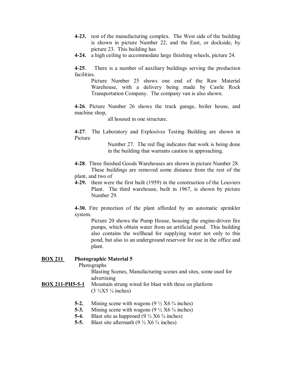- **4-23.** rest of the manufacturing complex. The West side of the building is shown in picture Number 22, and the East, or dockside, by picture 23. This building has
- **4-24.** a high ceiling to accommodate large finishing wheels, picture 24.

**4-25**. There is a number of auxiliary buildings serving the production facilities.

Picture Number 25 shows one end of the Raw Material Warehouse, with a delivery being made by Castle Rock Transportation Company. The company van is also shown.

**4-26**. Picture Number 26 shows the truck garage, boiler house, and machine shop,

all housed in one structure.

**4-27**. The Laboratory and Explosives Testing Building are shown in Picture

> Number 27. The red flag indicates that work is being done in the building that warrants caution in approaching.

- **4-28**. Three finished Goods Warehouses are shown in picture Number 28. These buildings are removed some distance from the rest of the plant, and two of
- **4-29.** them were the first built (1959) in the construction of the Louviers Plant. The third warehouse, built in 1967, is shown by picture Number 29.

**4-30.** Fire protection of the plant afforded by an automatic sprinkler system.

Picture 20 shows the Pump House, housing the engine-driven fire pumps, which obtain water from an artificial pond. This building also contains the wellhead for supplying water not only to this pond, but also to an underground reservoir for use in the office and plant.

#### **BOX 211 Photographic Material 5**

Photographs

Blasting Scenes, Manufacturing scenes and sites, some used for advertising

- **BOX 211-PH5-5-1** Mountain strung wired for blast with three on platform  $(3\frac{1}{2}X5\frac{1}{4}$  inches)
	- **5-2.** Mining scene with wagons  $(9\frac{1}{2} X6 \frac{3}{4} \text{ inches})$
	- **5-3.** Mining scene with wagons  $(9\frac{1}{2} X6 \frac{3}{4} \text{ inches})$
	- **5-4.** Blast site as happened  $(9\frac{1}{2} X6 \frac{3}{4} \text{ inches})$
	- **5-5.** Blast site aftermath  $(9\frac{1}{2} X6 \frac{3}{4} \text{ inches})$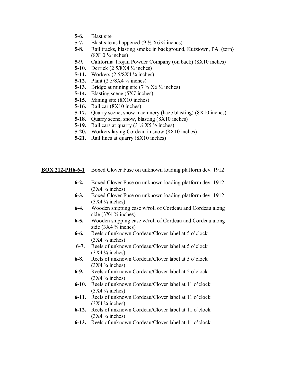- **5-6.** Blast site
- **5-7.** Blast site as happened  $(9\frac{1}{2} X6 \frac{3}{4} \text{ inches})$
- **5-8.** Rail tracks, blasting smoke in background, Kutztown, PA. (torn)  $(8X10 \frac{1}{4} \text{ inches})$
- **5-9.** California Trojan Powder Company (on back) (8X10 inches)
- **5-10.** Derrick (2 5/8X4  $\frac{1}{4}$  inches)
- **5-11.** Workers  $(2.5/8X4 \frac{1}{4} \text{ inches})$
- **5-12.** Plant  $(2.5/8X4 \frac{1}{4} \text{ inches})$
- **5-13.** Bridge at mining site  $(7\frac{3}{4} \times 6\frac{1}{4} \text{ inches})$
- **5-14.** Blasting scene (5X7 inches)
- **5-15.** Mining site (8X10 inches)
- **5-16.** Rail car (8X10 inches)
- **5-17.** Quarry scene, snow machinery (haze blasting) (8X10 inches)
- **5-18.** Quarry scene, snow, blasting (8X10 inches)
- **5-19.** Rail cars at quarry  $(3 \frac{1}{4} X5 \frac{1}{2} \text{ inches})$
- **5-20.** Workers laying Cordeau in snow (8X10 inches)
- **5-21.** Rail lines at quarry (8X10 inches)

**BOX 212-PH6-6-1** Boxed Clover Fuse on unknown loading platform dev. 1912

- **6-2.** Boxed Clover Fuse on unknown loading platform dev. 1912  $(3X4 \frac{3}{4}$  inches)
- **6-3.** Boxed Clover Fuse on unknown loading platform dev. 1912  $(3X4 \frac{3}{4}$  inches)
- **6-4.** Wooden shipping case w/roll of Cordeau and Cordeau along side  $(3X4 \frac{3}{4} \text{ inches})$
- **6-5.** Wooden shipping case w/roll of Cordeau and Cordeau along side  $(3X4 \frac{3}{4} \text{ inches})$
- **6-6.** Reels of unknown Cordeau/Clover label at 5 o'clock  $(3X4 \frac{3}{4}$  inches)
- **6-7.** Reels of unknown Cordeau/Clover label at 5 o'clock  $(3X4 \frac{3}{4} \text{ inches})$
- **6-8.** Reels of unknown Cordeau/Clover label at 5 o'clock  $(3X4 \frac{3}{4}$  inches)
- **6-9.** Reels of unknown Cordeau/Clover label at 5 o'clock  $(3X4 \frac{3}{4}$  inches)
- **6-10.** Reels of unknown Cordeau/Clover label at 11 o'clock  $(3X4 \frac{3}{4}$  inches)
- **6-11.** Reels of unknown Cordeau/Clover label at 11 o'clock  $(3X4 \frac{3}{4}$  inches)
- **6-12.** Reels of unknown Cordeau/Clover label at 11 o'clock  $(3X4 \frac{3}{4}$  inches)
- **6-13.** Reels of unknown Cordeau/Clover label at 11 o'clock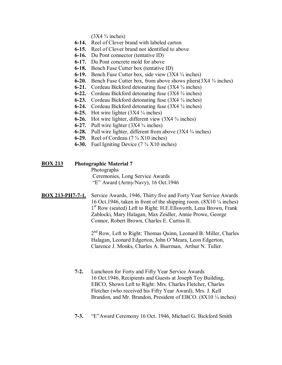$(3X4 \frac{3}{4}$  inches)

- **6-14.** Reel of Clover brand with labeled carton
- **6-15.** Reel of Clover brand not identified to above
- **6-16.** Du Pont connector (tentative ID)
- **6-17.** Du Pont concrete mold for above
- **6-18.** Bench Fuse Cutter box (tentative ID)
- **6-19.** Bench Fuse Cutter box, side view (3X4  $\frac{3}{4}$  inches)
- **6-20.** Bench Fuse Cutter box, from above shows pliers $(3X4 \frac{3}{4} \text{ inches})$
- **6-21.** Cordeau Bickford detonating fuse (3X4  $\frac{3}{4}$  inches)
- **6-22.** Cordeau Bickford detonating fuse (3X4  $\frac{3}{4}$  inches)
- **6-23.** Cordeau Bickford detonating fuse (3X4  $\frac{3}{4}$  inches)
- **6-24.** Cordeau Bickford detonating fuse (3X4  $\frac{3}{4}$  inches)
- **6-25.** Hot wire lighter  $(3X4 \frac{3}{4} \text{ inches})$
- **6-26.** Hot wire lighter, different view  $(3X4 \frac{3}{4} \text{ inches})$
- **6-27.** Pull wire lighter  $(3X4 \frac{3}{4} \text{ inches})$
- **6-28.** Pull wire lighter, different from above (3X4  $\frac{3}{4}$  inches)
- **6-29.** Reel of Cordeau (7  $\frac{3}{4}$  X10 inches)
- **6-30.** Fuel Igniting Device  $(7 \frac{3}{4} \times 10)$  inches)
- **BOX 213 Photographic Material 7**  Photographs Ceremonies, Long Service Awards ìEî Award (Army/Navy), 16 Oct.1946
- **BOX 213-PH7-7-1.** Service Awards, 1946, Thirty five and Forty Year Service Awards 16 Oct.1946, taken in front of the shipping room.  $(8X10<sup>1</sup>/<sub>4</sub> inches)$ 1<sup>st</sup> Row (seated) Left to Right: H.E. Ellsworth, Lena Brown, Frank Zablocki, Mary Halagan, Max Zeidler, Annie Prowe, George Connor, Robert Brown, Charles E. Curtiss II.

2<sup>nd</sup> Row, Left to Right: Thomas Quinn, Leonard B. Miller, Charles Halagan, Leonard Edgerton, John O'Meara, Leon Edgerton, Clarence J. Monks, Charles A. Buerman, Arthur N. Tuller.

- **7-2.** Luncheon for Forty and Fifty Year Service Awards 16 Oct.1946, Recipients and Guests at Joseph Toy Building, EBCO, Shown Left to Right: Mrs. Charles Fletcher, Charles Fletcher (who received his Fifty Year Award), Mrs. J. Kell Brandon, and Mr. Brandon, President of EBCO.  $(8X10<sup>1</sup>/<sub>4</sub> inches)$
- **7-3.** *I***E**"Award Ceremony 16 Oct. 1946, Michael G. Bickford Smith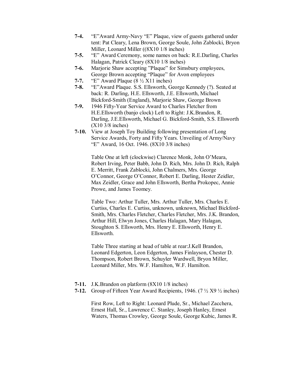- **7-4.** "E"Award Army-Navy "E" Plaque, view of guests gathered under tent: Pat Cleary, Lena Brown, George Soule, John Zablocki, Bryon Miller, Leonard Miller ((8X10 1/8 inches)
- **7-5. I**E<sup>n</sup> Award Ceremony, some names on back: R.E.Darling, Charles Halagan, Patrick Cleary (8X10 1/8 inches)
- 7-6. Marjorie Shaw accepting "Plaque" for Simsbury employees, George Brown accepting "Plaque" for Avon employees
- **7-7.**  $\text{``E''}$  Award Plaque (8  $\frac{1}{2}$  X11 inches)
- **7-8.** ìEîAward Plaque. S.S. Ellsworth, George Kennedy (?). Seated at back: R. Darling, H.E. Ellsworth, J.E. Ellsworth, Michael Bickford-Smith (England), Marjorie Shaw, George Brown
- **7-9.** 1946 Fifty-Year Service Award to Charles Fletcher from H.E.Ellsworth (banjo clock) Left to Right: J.K.Brandon, R. Darling, J.E.Ellsworth, Michael G. Bickford-Smith, S.S. Ellsworth (X10 3/8 inches)
- **7-10.** View at Joseph Toy Building following presentation of Long Service Awards, Forty and Fifty Years. Unveiling of Army/Navy ìEî Award, 16 Oct. 1946. (8X10 3/8 inches)

Table One at left (clockwise) Clarence Monk, John O'Meara, Robert Irving, Peter Babb, John D. Rich, Mrs. John D. Rich, Ralph E. Merritt, Frank Zablocki, John Chalmers, Mrs. George O'Connor, George O'Connor, Robert E. Darling, Hester Zeidler, Max Zeidler, Grace and John Ellsworth, Bertha Prokopec, Annie Prowe, and James Toomey.

Table Two: Arthur Tuller, Mrs. Arthur Tuller, Mrs. Charles E. Curtiss, Charles E. Curtiss, unknown, unknown, Michael Bickford-Smith, Mrs. Charles Fletcher, Charles Fletcher, Mrs. J.K. Brandon, Arthur Hill, Elwyn Jones, Charles Halagan, Mary Halagan, Stoughton S. Ellsworth, Mrs. Henry E. Ellsworth, Henry E. Ellsworth.

Table Three starting at head of table at rear:J.Kell Brandon, Leonard Edgerton, Leon Edgerton, James Finlayson, Chester D. Thompson, Robert Brown, Schuyler Wardwell, Bryon Miller, Leonard Miller, Mrs. W.F. Hamilton, W.F. Hamilton.

- **7-11.** J.K.Brandon on platform (8X10 1/8 inches)
- **7-12.** Group of Fifteen Year Award Recipients, 1946. (7 ½ X9 ½ inches)

First Row, Left to Right: Leonard Plude, Sr., Michael Zacchera, Ernest Hall, Sr., Lawrence C. Stanley, Joseph Hanley, Ernest Waters, Thomas Crowley, George Soule, George Kubic, James R.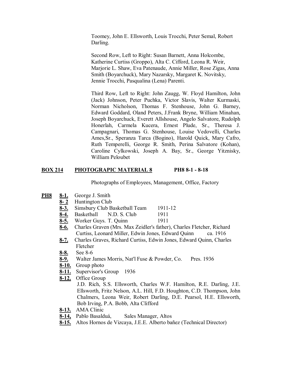Toomey, John E. Ellsworth, Louis Trocchi, Peter Semal, Robert Darling.

Second Row, Left to Right: Susan Barnett, Anna Holcombe, Katherine Curtiss (Groppo), Alta C. Cifford, Leona R. Weir, Marjorie L. Shaw, Eva Patenaude, Annie Miller, Rose Zigas, Anna Smith (Boyarchuck), Mary Nazarsky, Margaret K. Novitsky, Jennie Trocchi, Pasqualina (Lena) Parenti.

Third Row, Left to Right: John Zaugg, W. Floyd Hamilton, John (Jack) Johnson, Peter Puchka, Victor Slavis, Walter Kurmaski, Norman Nicholson, Thomas F. Stenhouse, John G. Barney, Edward Goddard, Oland Peters, J.Frank Bryne, William Minahan, Joseph Boyarchuck, Everett Allshouse, Angelo Salvatore, Rudolph Honerlah, Carmela Kucera, Ernest Plude, Sr., Theresa J. Campagnari, Thomas G. Stenhouse, Louise Vedovelli, Charles Ames,Sr., Speranza Tarca (Bogino), Harold Quick, Mary Cafro, Ruth Temperelli, George R. Smith, Perina Salvatore (Kohan), Caroline Cylkowski, Joseph A. Bay, Sr., George Yitznisky, William Peloubet

#### **BOX 214 PHOTOGRAPIC MATERIAL 8 PH8 8-1 - 8-18**

Photographs of Employees, Management, Office, Factory

- **PH8 8-1.** George J. Smith
	- **8- 2** Huntington Club
	- **8-3.** Simsbury Club Basketball Team 1911-12
	- **8-4.** Basketball N.D. S. Club 1911
	- **8-5.** Worker Guys. T. Quinn 1911
	- **8-6.** Charles Graven (Mrs. Max Zeidler's father), Charles Fletcher, Richard Curtiss, Leonard Miller, Edwin Jones, Edward Quinn ca. 1916
	- **8-7.** Charles Graves, Richard Curtiss, Edwin Jones, Edward Quinn, Charles Fletcher
	- **8-8.** See 8-6
	- **8-9.** Walter James Morris, Nat'l Fuse & Powder, Co. Pres. 1936
	- **8-10.** Group photo
	- **8-11.** Supervisor's Group 1936
	- **8-12.** Office Group J.D. Rich, S.S. Ellsworth, Charles W.F. Hamilton, R.E. Darling, J.E. Ellsworth, Fritz Nelson, A.L. Hill, F.D. Houghton, C.D. Thompson, John Chalmers, Leona Weir, Robert Darling, D.E. Pearsol, H.E. Ellsworth, Bob Irving, P.A. Bobb, Alta Clifford
	- **8-13.** AMA Clinic
	- 8-14, Pablo Basalduá, Sales Manager, Altos
	- 8-15. Altos Hornos de Vizcaya, J.E.E. Alberto bañez (Technical Director)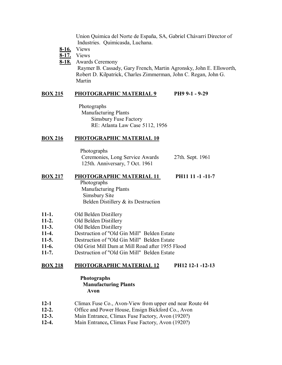Union Quimica del Norte de España, SA, Gabriel Chávarri Director of Industries. Quimicasda, Luchana.

- **8-16.** Views
- **8-17.** Views
- **8-18.** Awards Ceremony

 Raymer B. Cassady, Gary French, Martin Agronsky, John E. Ellsworth, Robert D. Kilpatrick, Charles Zimmerman, John C. Regan, John G. Martin

## **BOX 215 PHOTOGRAPHIC MATERIAL 9 PH9 9-1 - 9-29**

 Photographs Manufacturing Plants Simsbury Fuse Factory RE: Atlanta Law Case 5112, 1956

## **BOX 216 PHOTOGRAPHIC MATERIAL 10**

 Photographs Ceremonies, Long Service Awards 27th. Sept. 1961 125th. Anniversary, 7 Oct. 1961

#### **BOX 217 PHOTOGRAPHIC MATERIAL 11 PH11 11 -1 -11-7**

 Photographs Manufacturing Plants Simsbury Site Belden Distillery & its Destruction

- **11-1.** Old Belden Distillery
- **11-2.** Old Belden Distillery
- **11-3.** Old Belden Distillery
- **11-4.** Destruction of "Old Gin Mill" Belden Estate
- **11-5.** Destruction of "Old Gin Mill" Belden Estate
- **11-6.** Old Grist Mill Dam at Mill Road after 1955 Flood
- **11-7.** Destruction of "Old Gin Mill" Belden Estate

## **BOX 218 PHOTOGRAPHIC MATERIAL 12 PH12 12-1 -12-13**

#### **Photographs Manufacturing Plants Avon**

- **12-1** Climax Fuse Co., Avon-View from upper end near Route 44
- **12-2.** Office and Power House, Ensign Bickford Co., Avon
- **12-3.** Main Entrance, Climax Fuse Factory, Avon (1920?)
- **12-4.** Main Entrance**,** Climax Fuse Factory, Avon (1920?)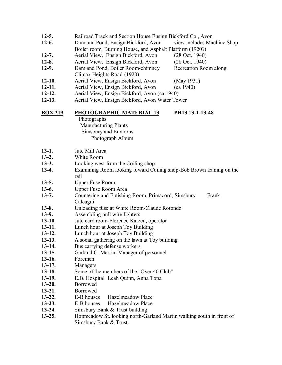| $12-5.$        | Railroad Track and Section House Ensign Bickford Co., Avon           |  |  |
|----------------|----------------------------------------------------------------------|--|--|
| $12-6.$        | Dam and Pond, Ensign Bickford, Avon<br>view includes Machine Shop    |  |  |
|                | Boiler room, Burning House, and Asphalt Platform (1920?)             |  |  |
| $12 - 7.$      | Aerial View. Ensign Bickford, Avon<br>$(28 \text{ Oct. } 1940)$      |  |  |
| $12 - 8.$      | Aerial View, Ensign Bickford, Avon<br>$(28 \text{ Oct. } 1940)$      |  |  |
| $12-9.$        | Dam and Pond, Boiler Room-chimney<br>Recreation Room along           |  |  |
|                | Climax Heights Road (1920)                                           |  |  |
| $12-10.$       | Aerial View, Ensign Bickford, Avon<br>(May 1931)                     |  |  |
| $12 - 11.$     | Aerial View, Ensign Bickford, Avon<br>(ca 1940)                      |  |  |
| $12 - 12.$     | Aerial View, Ensign Bickford, Avon (ca 1940)                         |  |  |
| $12-13.$       | Aerial View, Ensign Bickford, Avon Water Tower                       |  |  |
|                |                                                                      |  |  |
| <b>BOX 219</b> | PHOTOGRAPHIC MATERIAL 13<br>PH13 13-1-13-48                          |  |  |
|                | Photographs                                                          |  |  |
|                | Manufacturing Plants                                                 |  |  |
|                | Simsbury and Environs                                                |  |  |
|                | Photograph Album                                                     |  |  |
|                |                                                                      |  |  |
| $13-1.$        | Jute Mill Area                                                       |  |  |
| $13-2.$        | White Room                                                           |  |  |
| $13-3.$        | Looking west from the Coiling shop                                   |  |  |
| $13-4.$        | Examining Room looking toward Coiling shop-Bob Brown leaning on the  |  |  |
|                | rail                                                                 |  |  |
| $13-5.$        | <b>Upper Fuse Room</b>                                               |  |  |
| $13-6.$        | Upper Fuse Room Area                                                 |  |  |
| $13 - 7.$      | Countering and Finishing Room, Primacord, Simsbury<br>Frank          |  |  |
|                | Calcagni                                                             |  |  |
| $13-8.$        | Unloading fuse at White Room-Claude Rotondo                          |  |  |
| $13-9.$        | Assembling pull wire lighters                                        |  |  |
| $13-10.$       | Jute card room-Florence Katzen, operator                             |  |  |
| $13-11.$       | Lunch hour at Joseph Toy Building                                    |  |  |
| $13-12.$       | Lunch hour at Joseph Toy Building                                    |  |  |
| $13-13.$       | A social gathering on the lawn at Toy building                       |  |  |
| $13-14.$       | Bus carrying defense workers                                         |  |  |
| $13-15.$       | Garland C. Martin, Manager of personnel                              |  |  |
| $13-16.$       | Foremen                                                              |  |  |
| $13-17.$       | Managers                                                             |  |  |
| $13-18.$       | Some of the members of the "Over 40 Club"                            |  |  |
| $13-19.$       | E.B. Hospital Leah Quinn, Anna Topa                                  |  |  |
| $13 - 20.$     | Borrowed                                                             |  |  |
| $13-21.$       | Borrowed                                                             |  |  |
| $13-22.$       | Hazelmeadow Place<br>E-B houses                                      |  |  |
| $13 - 23.$     | Hazelmeadow Place<br>E-B houses                                      |  |  |
| $13 - 24.$     | Simsbury Bank & Trust building                                       |  |  |
| $13 - 25.$     | Hopmeadow St. looking north-Garland Martin walking south in front of |  |  |
|                | Simsbury Bank & Trust.                                               |  |  |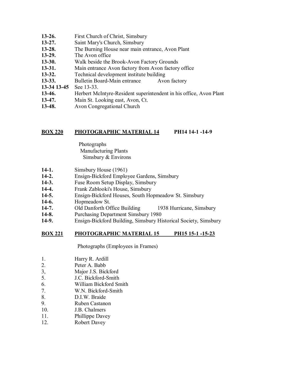| $13-26.$    | First Church of Christ, Simsbury                                   |  |  |
|-------------|--------------------------------------------------------------------|--|--|
| $13 - 27.$  | Saint Mary's Church, Simsbury                                      |  |  |
| $13 - 28.$  | The Burning House near main entrance, Avon Plant                   |  |  |
| $13-29.$    | The Avon office                                                    |  |  |
| $13 - 30.$  | Walk beside the Brook-Avon Factory Grounds                         |  |  |
| $13-31.$    | Main entrance Avon factory from Avon factory office                |  |  |
| $13 - 32.$  | Technical development institute building                           |  |  |
| $13 - 33.$  | Bulletin Board-Main entrance<br>Avon factory                       |  |  |
| 13-34 13-45 | See 13-33.                                                         |  |  |
| $13-46.$    | Herbert McIntyre-Resident superintendent in his office, Avon Plant |  |  |
| $13-47.$    | Main St. Looking east, Avon, Ct.                                   |  |  |
|             |                                                                    |  |  |

**13-48.** Avon Congregational Church

## **BOX 220 PHOTOGRAPHIC MATERIAL 14 PH14 14-1 -14-9**

 Photographs Manufacturing Plants Simsbury & Environs

- **14-1.** Simsbury House (1961)
- **14-2.** Ensign-Bickford Employee Gardens, Simsbury
- **14-3.** Fuse Room Setup Display, Simsbury
- **14-4.** Frank Zablooki's House, Simsbury
- **14-5.** Ensign-Bickford Houses, South Hopmeadow St. Simsbury
- **14-6.** Hopmeadow St.
- **14-7.** Old Danforth Office Building1938 Hurricane, Simsbury
- **14-8.** Purchasing Department Simsbury 1980
- **14-9.** Ensign-Bickford Building, Simsbury Historical Society, Simsbury

## **BOX 221 PHOTOGRAPHIC MATERIAL 15 PH15 15-1 -15-23**

Photographs (Employees in Frames)

- 1. Harry R. Ardill
- 2. Peter A. Babb
- 3, Major J.S. Bickford
- 5. J.C. Bickford-Smith
- 6. William Bickford Smith
- 7. W.N. Bickford-Smith
- 8. D.I.W. Braide
- 9. Ruben Castanon
- 10. J.B. Chalmers
- 11. Phillippe Davey
- 12. Robert Davey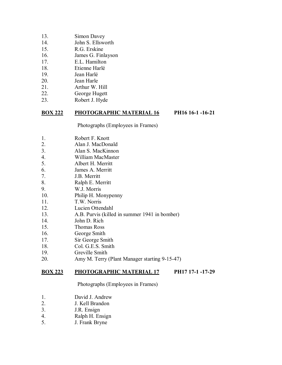- 13. Simon Davey
- 14. John S. Ellsworth
- 15. R.G. Erskine
- 16. James G. Finlayson
- 17. E.L. Hamilton
- 18. Etienne Harlé
- 19. Jean Harlé
- 20. Jean Harle
- 21. Arthur W. Hill
- 22. George Hugett
- 23. Robert J. Hyde

#### **BOX 222 PHOTOGRAPHIC MATERIAL 16 PH16 16-1 -16-21**

Photographs (Employees in Frames)

- 1. Robert F. Knott
- 2. Alan J. MacDonald
- 3. Alan S. MacKinnon
- 4. William MacMaster
- 5. Albert H. Merritt
- 6. James A. Merritt
- 7. J.B. Merritt
- 8. Ralph E. Merritt
- 9. W.J. Morris
- 10. Philip H. Monypenny
- 11. T.W. Norris
- 12. Lucien Ottendahl
- 13. A.B. Purvis (killed in summer 1941 in bomber)
- 14. John D. Rich
- 15. Thomas Ross
- 16. George Smith
- 17. Sir George Smith
- 18. Col. G.E.S. Smith
- 19. Greville Smith
- 20. Amy M. Terry (Plant Manager starting 9-15-47)

#### **BOX 223 PHOTOGRAPHIC MATERIAL 17 PH17 17-1 -17-29**

Photographs (Employees in Frames)

- 1. David J. Andrew
- 2. J. Kell Brandon
- 3. J.R. Ensign
- 4. Ralph H. Ensign
- 5. J. Frank Bryne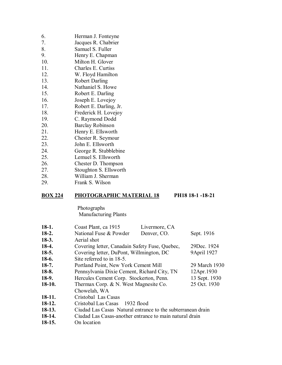| 6.  | Herman J. Fonteyne    |
|-----|-----------------------|
| 7.  | Jacques R. Chabrier   |
| 8.  | Samuel S. Fuller      |
| 9.  | Henry E. Chapman      |
| 10. | Milton H. Glover      |
| 11. | Charles E. Curtiss    |
| 12. | W. Floyd Hamilton     |
| 13. | <b>Robert Darling</b> |
|     |                       |

- 14. Nathaniel S. Howe
- 15. Robert E. Darling
- 16. Joseph E. Lovejoy
- 17. Robert E. Darling, Jr.
- 18. Frederick H. Lovejoy
- 19. C. Raymond Dodd
- 20. Barclay Robinson
- 21. Henry E. Ellsworth
- 22. Chester R. Seymour
- 23. John E. Ellsworth
- 24. George R. Stubblebine
- 25. Lemuel S. Ellsworth
- 26. Chester D. Thompson
- 27. Stoughton S. Ellsworth
- 28. William J. Sherman
- 29. Frank S. Wilson

#### **BOX 224 PHOTOGRAPHIC MATERIAL 18 PH18 18-1 -18-21**

Photographs Manufacturing Plants

| $18-1.$  | Coast Plant, ca 1915                                        | Livermore, CA |               |
|----------|-------------------------------------------------------------|---------------|---------------|
| $18-2.$  | National Fuse & Powder                                      | Denver, CO.   | Sept. 1916    |
| $18-3.$  | Aerial shot                                                 |               |               |
| $18-4.$  | Covering letter, Canadain Safety Fuse, Quebec,              |               | 29 Dec. 1924  |
| $18-5.$  | Covering letter, DuPont, Willmington, DC                    |               | 9April 1927   |
| $18-6.$  | Site referred to in 18-5.                                   |               |               |
| $18-7.$  | Portland Point, New York Cement Mill                        |               | 29 March 1930 |
| $18-8.$  | Pennsylvania Dixie Cement, Richard City, TN<br>12Apr.1930   |               |               |
| $18-9.$  | Hercules Cement Corp. Stockerton, Penn.<br>13 Sept. 1930    |               |               |
| $18-10.$ | Thermax Corp. & N. West Magnesite Co.                       |               | 25 Oct. 1930  |
|          | Chowelah, WA                                                |               |               |
| $18-11.$ | Cristobal Las Casas                                         |               |               |
| $18-12.$ | Cristobal Las Casas<br>1932 flood                           |               |               |
| $18-13.$ | Ciudad Las Casas Natural entrance to the subterranean drain |               |               |
| 18-14.   | Ciudad Las Casas-another entrance to main natural drain     |               |               |
| $18-15.$ | On location                                                 |               |               |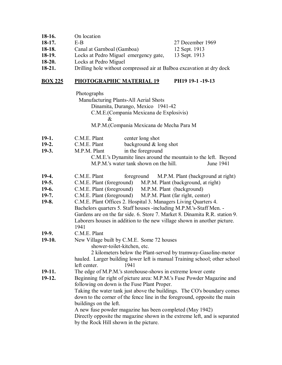| 18-16.   | On location |                  |
|----------|-------------|------------------|
| $18-17.$ | E-B         | 27 December 1969 |

- 
- 
- **18-18.** Canal at Garnboal (Gamboa) 12 Sept. 1913<br>**18-19.** Locks at Pedro Miguel emergency gate, 13 Sept. 1913 **18-19.** Locks at Pedro Miguel emergency gate,<br>**18-20.** Locks at Pedro Miguel
- **18-20.** Locks at Pedro Miguel<br>**18-21.** Drilling hole without co
- **18-21.** Drilling hole without compressed air at Balboa excavation at dry dock

## **BOX 225 PHOTOGRAPHIC MATERIAL 19 PH19 19-1 -19-13**

|          | Photographs                                                                 |  |  |
|----------|-----------------------------------------------------------------------------|--|--|
|          | Manufacturing Plants-All Aerial Shots                                       |  |  |
|          | Dinamita, Durango, Mexico 1941-42                                           |  |  |
|          | C.M.E.(Compania Mexicana de Explosivis)                                     |  |  |
|          | $\&$                                                                        |  |  |
|          | M.P.M.(Compania Mexicana de Mecha Para M                                    |  |  |
| $19-1.$  | C.M.E. Plant<br>center long shot                                            |  |  |
| $19-2.$  | background & long shot<br>C.M.E. Plant                                      |  |  |
| $19-3.$  | in the foreground<br>M.P.M. Plant                                           |  |  |
|          | C.M.E.'s Dynamite lines around the mountain to the left. Beyond             |  |  |
|          | M.P.M.'s water tank shown on the hill.<br>June 1941                         |  |  |
| 19-4.    | C.M.E. Plant<br>foreground M.P.M. Plant (background at right)               |  |  |
| $19-5.$  | C.M.E. Plant (foreground) M.P.M. Plant (background, at right)               |  |  |
| 19-6.    | C.M.E. Plant (foreground) M.P.M. Plant (background)                         |  |  |
| $19-7.$  | C.M.E. Plant (foreground)<br>M.P.M. Plant (far right, center)               |  |  |
| $19-8.$  | C.M.E. Plant Offices 2. Hospital 3. Managers Living Quarters 4.             |  |  |
|          | Bachelors quarters 5. Staff houses -including M.P.M.'s-Staff Men. -         |  |  |
|          | Gardens are on the far side, 6. Store 7. Market 8. Dinamita R.R. station 9. |  |  |
|          | Laborers houses in addition to the new village shown in another picture.    |  |  |
|          | 1941                                                                        |  |  |
| 19-9.    | C.M.E. Plant                                                                |  |  |
| $19-10.$ | New Village built by C.M.E. Some 72 houses                                  |  |  |
|          | shower-toilet-kitchen, etc.                                                 |  |  |
|          | 2 kilometers below the Plant-served by tramway-Gasoline-motor               |  |  |
|          | hauled. Larger building lower left is manual Training school; other school  |  |  |
|          | left center.<br>1941                                                        |  |  |
| 19-11.   | The edge of M.P.M.'s storehouse-shows in extreme lower cente                |  |  |
| 19-12.   | Beginning far right of picture area: M.P.M.'s Fuse Powder Magazine and      |  |  |
|          | following on down is the Fuse Plant Proper.                                 |  |  |
|          | Taking the water tank just above the buildings. The CO's boundary comes     |  |  |
|          | down to the corner of the fence line in the foreground, opposite the main   |  |  |
|          | buildings on the left.                                                      |  |  |
|          | A new fuse powder magazine has been completed (May 1942)                    |  |  |
|          | Directly opposite the magazine shown in the extreme left, and is separated  |  |  |
|          |                                                                             |  |  |

by the Rock Hill shown in the picture.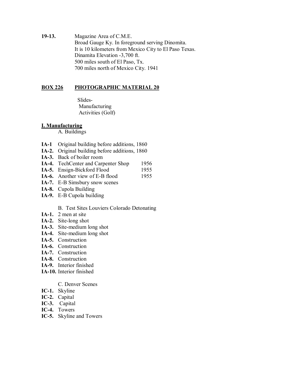**19-13.** Magazine Area of C.M.E. Broad Gauge Ky. In foreground serving Dinomita. It is 10 kilometers from Mexico City to El Paso Texas. Dinamita Elevation -3,700 ft. 500 miles south of El Paso, Tx. 700 miles north of Mexico City. 1941

# **BOX 226 PHOTOGRAPHIC MATERIAL 20**

 Slides- Manufacturing Activities (Golf)

#### **I. Manufacturing**

A. Buildings

- **IA-1** Original building before additions, 1860
- **IA-2.** Original building before additions, 1860
- **IA-3.** Back of boiler room
- **IA-4.** TechCenter and Carpenter Shop 1956
- **IA-5.** Ensign-Bickford Flood 1955
- **IA-6.** Another view of E-B flood 1955
- **IA-7.** E-B Simsbury snow scenes
- **IA-8.** Cupola Building
- **IA-9.** E-B Cupola building
	- B. Test Sites Louviers Colorado Detonating
- **IA-1.** 2 men at site
- **IA-2.** Site-long shot
- **IA-3.** Site-medium long shot
- **IA-4.** Site-medium long shot
- **IA-5.** Construction
- **IA-6.** Construction
- **IA-7.** Construction
- **IA-8.** Construction
- **IA-9.** Interior finished
- **IA-10.** Interior finished

#### C. Denver Scenes

- **IC-1.** Skyline
- **IC-2.** Capital
- **IC-3.** Capital
- **IC-4.** Towers
- **IC-5.** Skyline and Towers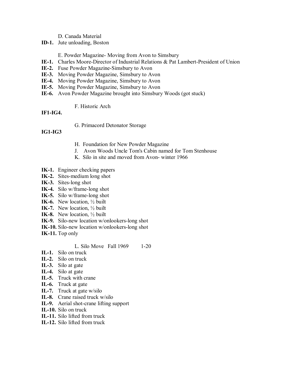#### D. Canada Material

**ID-1.** Jute unloading, Boston

E. Powder Magazine- Moving from Avon to Simsbury

- **IE-1.** Charles Moore-Director of Industrial Relations & Pat Lambert-President of Union
- **IE-2.** Fuse Powder Magazine-Simsbury to Avon
- **IE-3.** Moving Powder Magazine, Simsbury to Avon
- **IE-4.** Moving Powder Magazine, Simsbury to Avon
- **IE-5.** Moving Powder Magazine, Simsbury to Avon
- **IE-6.** Avon Powder Magazine brought into Simsbury Woods (got stuck)

#### F. Historic Arch

#### **IF1-IG4.**

G. Primacord Detonator Storage

# **IG1-IG3**

- H. Foundation for New Powder Magazine
- J. Avon Woods Uncle Tom's Cabin named for Tom Stenhouse
- K. Silo in site and moved from Avon- winter 1966
- **IK-1.** Engineer checking papers
- **IK-2.** Sites-medium long shot
- **IK-3.** Sites-long shot
- **IK-4.** Silo w/frame-long shot
- **IK-5.** Silo w/frame-long shot
- **IK-6.** New location, ½ built
- **IK-7.** New location, ½ built
- **IK-8.** New location, ½ built
- **IK-9.** Silo-new location w/onlookers-long shot
- **IK-10.** Silo-new location w/onlookers-long shot
- **IK-11.** Top only

## L. Silo Move Fall 1969 1-20

- **IL-1.** Silo on truck
- **IL-2.** Silo on truck
- **IL-3.** Silo at gate
- **IL-4.** Silo at gate
- **IL-5.** Truck with crane
- **IL-6.** Truck at gate
- **IL-7.** Truck at gate w/silo
- **IL-8.** Crane raised truck w/silo
- **IL-9.** Aerial shot-crane lifting support
- **IL-10.** Silo on truck
- **IL-11.** Silo lifted from truck
- **IL-12.** Silo lifted from truck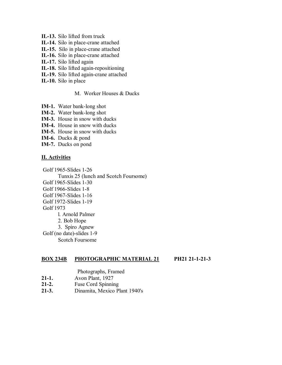- **IL-13.** Silo lifted from truck
- **IL-14.** Silo in place-crane attached
- **IL-15.** Silo in place-crane attached
- **IL-16.** Silo in place-crane attached
- **IL-17.** Silo lifted again
- **IL-18.** Silo lifted again-repositioning
- **IL-19.** Silo lifted again-crane attached
- **IL-10.** Silo in place

#### M. Worker Houses & Ducks

- **IM-1.** Water bank-long shot
- **IM-2.** Water bank-long shot
- **IM-3.** House in snow with ducks
- **IM-4.** House in snow with ducks
- **IM-5.** House in snow with ducks
- **IM-6.** Ducks & pond
- **IM-7.** Ducks on pond

#### **II. Activities**

 Golf 1965-Slides 1-26 Tunxis 25 (lunch and Scotch Foursome) Golf 1965-Slides 1-30 Golf 1966-Slides 1-8 Golf 1967-Slides 1-16 Golf 1972-Slides 1-19 Golf 1973 l. Arnold Palmer 2. Bob Hope 3. Spiro Agnew Golf (no date)-slides 1-9 Scotch Foursome

#### **BOX 234B PHOTOGRAPHIC MATERIAL 21 PH21 21-1-21-3**

Photographs, Framed

- **21-1.** Avon Plant, 1927
- **21-2.** Fuse Cord Spinning
- **21-3.** Dinamita, Mexico Plant 1940's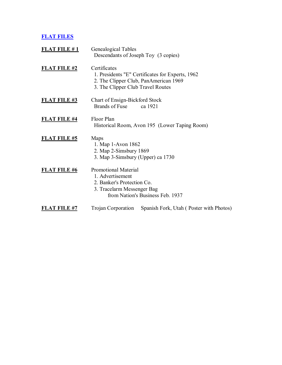# **FLAT FILES**

| FLAT FILE #1        | Genealogical Tables<br>Descendants of Joseph Toy (3 copies)                                                 |                                                  |
|---------------------|-------------------------------------------------------------------------------------------------------------|--------------------------------------------------|
| FLAT FILE #2        | Certificates<br>2. The Clipper Club, PanAmerican 1969<br>3. The Clipper Club Travel Routes                  | 1. Presidents "E" Certificates for Experts, 1962 |
| <b>FLAT FILE #3</b> | Chart of Ensign-Bickford Stock<br>Brands of Fuse                                                            | ca 1921                                          |
| <b>FLAT FILE #4</b> | Floor Plan                                                                                                  | Historical Room, Avon 195 (Lower Taping Room)    |
| <b>FLAT FILE #5</b> | Maps<br>1. Map 1-Avon 1862<br>2. Map 2-Simsbury 1869<br>3. Map 3-Simsbury (Upper) ca 1730                   |                                                  |
| <b>FLAT FILE #6</b> | <b>Promotional Material</b><br>1. Advertisement<br>2. Banker's Protection Co.<br>3. Tracelarm Messenger Bag | from Nation's Business Feb. 1937                 |
| <b>FLAT FILE #7</b> | <b>Trojan Corporation</b>                                                                                   | Spanish Fork, Utah (Poster with Photos)          |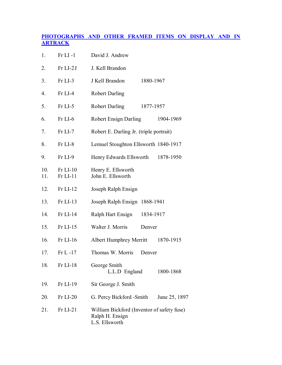# **PHOTOGRAPHS AND OTHER FRAMED ITEMS ON DISPLAY AND IN ARTRACK**

| 1.         | $Fr$ LI -1             | David J. Andrew                                                                 |
|------------|------------------------|---------------------------------------------------------------------------------|
| 2.         | Fr LI-2J               | J. Kell Brandon                                                                 |
| 3.         | Fr LI-3                | J Kell Brandon<br>1880-1967                                                     |
| 4.         | Fr LI-4                | <b>Robert Darling</b>                                                           |
| 5.         | Fr LI-5                | <b>Robert Darling</b><br>1877-1957                                              |
| 6.         | Fr LI-6                | <b>Robert Ensign Darling</b><br>1904-1969                                       |
| 7.         | Fr LI-7                | Robert E. Darling Jr. (triple portrait)                                         |
| 8.         | Fr LI-8                | Lemuel Stoughton Ellsworth 1840-1917                                            |
| 9.         | Fr LI-9                | Henry Edwards Ellsworth<br>1878-1950                                            |
| 10.<br>11. | $Fr$ LI-10<br>Fr LI-11 | Henry E. Ellsworth<br>John E. Ellsworth                                         |
| 12.        | $Fr$ LI-12             | Joseph Ralph Ensign                                                             |
| 13.        | $Fr$ LI-13             | Joseph Ralph Ensign 1868-1941                                                   |
| 14.        | $Fr$ LI-14             | Ralph Hart Ensign<br>1834-1917                                                  |
| 15.        | $Fr$ LI-15             | Walter J. Morris<br>Denver                                                      |
| 16.        | Fr LI-16               | Albert Humphrey Merritt<br>1870-1915                                            |
| 17.        | $Fr L - 17$            | Thomas W. Morris<br>Denver                                                      |
| 18.        | $Fr$ LI-18             | George Smith<br>L.L.D England<br>1800-1868                                      |
| 19.        | $Fr$ LI-19             | Sir George J. Smith                                                             |
| 20.        | Fr LI-20               | G. Percy Bickford -Smith<br>June 25, 1897                                       |
| 21.        | $Fr$ LI-21             | William Bickford (Inventor of safety fuse)<br>Ralph H. Ensign<br>L.S. Ellsworth |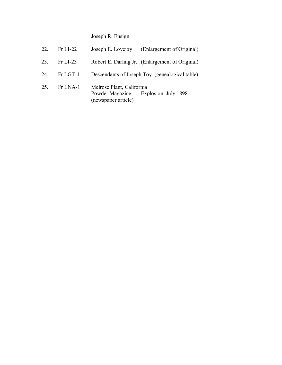Joseph R. Ensign

| 22. | $Fr$ LI-22 |                                                                     | Joseph E. Lovejoy (Enlargement of Original)     |
|-----|------------|---------------------------------------------------------------------|-------------------------------------------------|
| 23  | $Fr$ LI-23 |                                                                     | Robert E. Darling Jr. (Enlargement of Original) |
| 24  | Fr LGT-1   |                                                                     | Descendants of Joseph Toy (genealogical table)  |
| 25. | $Fr$ LNA-1 | Melrose Plant, California<br>Powder Magazine<br>(newspaper article) | Explosion, July 1898                            |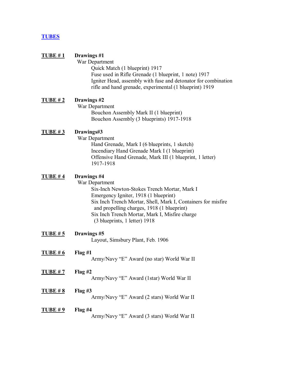## **TUBES**

#### **TUBE # 1 Drawings #1**

 War Department Quick Match (1 blueprint) 1917 Fuse used in Rifle Grenade (1 blueprint, 1 note) 1917 Igniter Head, assembly with fuse and detonator for combination rifle and hand grenade, experimental (1 blueprint) 1919

## **TUBE # 2 Drawings #2**

War Department Bouchon Assembly Mark II (1 blueprint) Bouchon Assembly (3 blueprints) 1917-1918

#### **TUBE # 3 Drawings#3**

War Department Hand Grenade, Mark I (6 blueprints, 1 sketch) Incendiary Hand Grenade Mark I (1 blueprint) Offensive Hand Grenade, Mark III (1 blueprint, 1 letter) 1917-1918

#### **TUBE # 4 Drawings #4**

War Department

 Six-Inch Newton-Stokes Trench Mortar, Mark I Emergency Igniter, 1918 (1 blueprint) Six Inch Trench Mortar, Shell, Mark I, Containers for misfire and propelling charges, 1918 (1 blueprint) Six Inch Trench Mortar, Mark I, Misfire charge (3 blueprints, 1 letter) 1918

| <b>TUBE # 5</b> | Drawings #5<br>Layout, Simsbury Plant, Feb. 1906        |
|-----------------|---------------------------------------------------------|
| <u>TUBE # 6</u> | Flag#1<br>Army/Navy "E" Award (no star) World War II    |
| <b>TUBE # 7</b> | Flag#2<br>Army/Navy "E" Award (1star) World War II      |
| <b>TUBE # 8</b> | Flag $#3$<br>Army/Navy "E" Award (2 stars) World War II |

#### **TUBE # 9 Flag #4**  Army/Navy "E" Award (3 stars) World War II